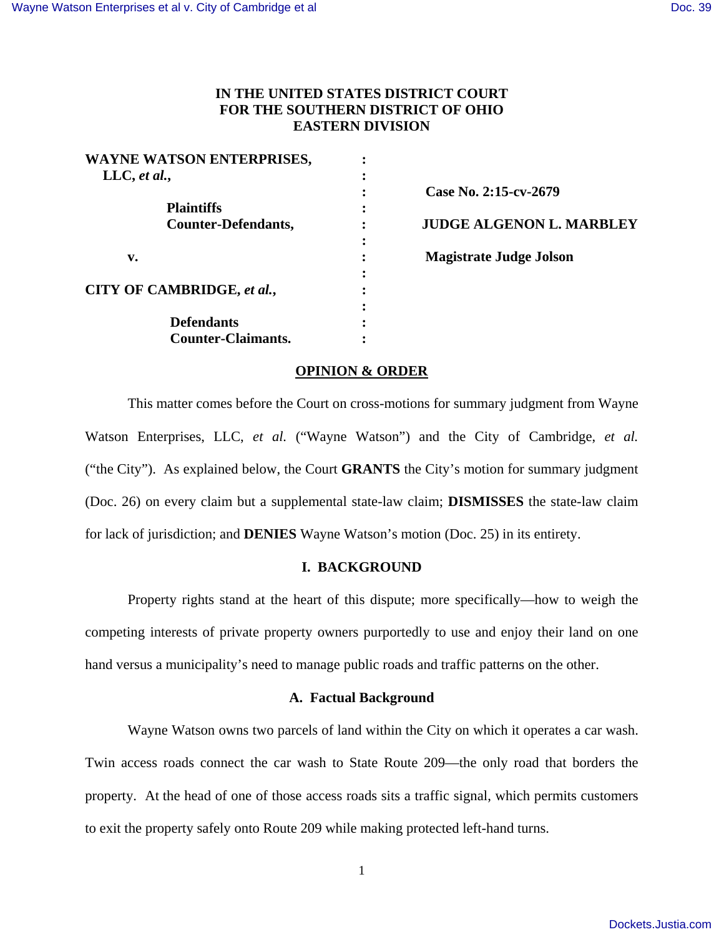# **IN THE UNITED STATES DISTRICT COURT FOR THE SOUTHERN DISTRICT OF OHIO EASTERN DIVISION**

| WAYNE WATSON ENTERPRISES,  |                                 |
|----------------------------|---------------------------------|
| LLC, et al.,               |                                 |
|                            | Case No. 2:15-cv-2679           |
| <b>Plaintiffs</b>          |                                 |
| <b>Counter-Defendants,</b> | <b>JUDGE ALGENON L. MARBLEY</b> |
|                            |                                 |
| v.                         | <b>Magistrate Judge Jolson</b>  |
|                            |                                 |
| CITY OF CAMBRIDGE, et al., |                                 |
|                            |                                 |
| <b>Defendants</b>          |                                 |
| <b>Counter-Claimants.</b>  |                                 |

## **OPINION & ORDER**

 This matter comes before the Court on cross-motions for summary judgment from Wayne Watson Enterprises, LLC, *et al.* ("Wayne Watson") and the City of Cambridge, *et al.* ("the City"). As explained below, the Court **GRANTS** the City's motion for summary judgment (Doc. 26) on every claim but a supplemental state-law claim; **DISMISSES** the state-law claim for lack of jurisdiction; and **DENIES** Wayne Watson's motion (Doc. 25) in its entirety.

## **I. BACKGROUND**

Property rights stand at the heart of this dispute; more specifically—how to weigh the competing interests of private property owners purportedly to use and enjoy their land on one hand versus a municipality's need to manage public roads and traffic patterns on the other.

### **A. Factual Background**

Wayne Watson owns two parcels of land within the City on which it operates a car wash. Twin access roads connect the car wash to State Route 209—the only road that borders the property. At the head of one of those access roads sits a traffic signal, which permits customers to exit the property safely onto Route 209 while making protected left-hand turns.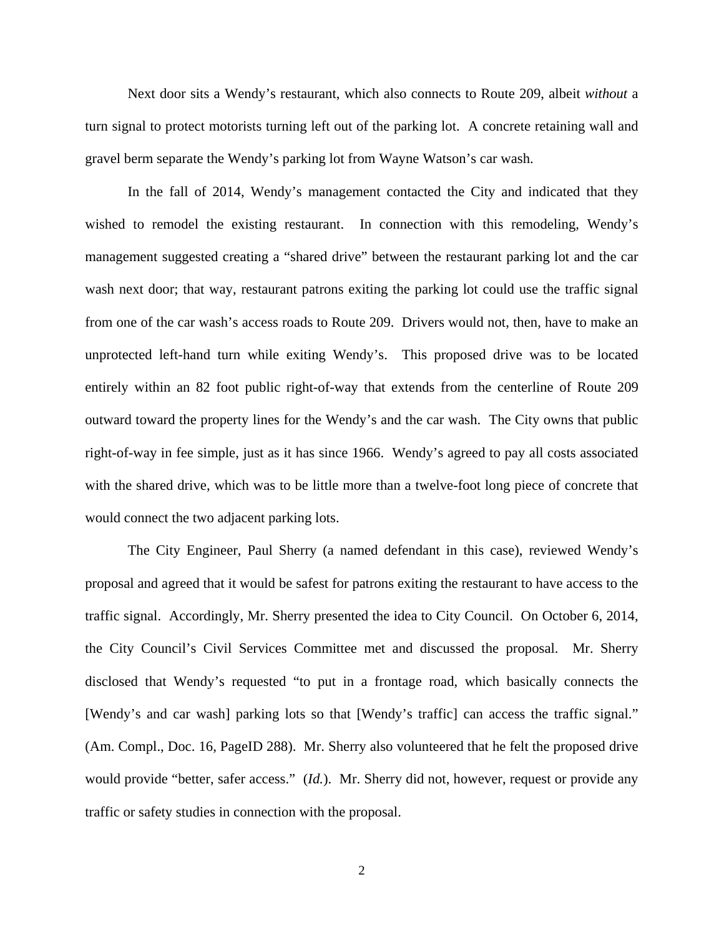Next door sits a Wendy's restaurant, which also connects to Route 209, albeit *without* a turn signal to protect motorists turning left out of the parking lot. A concrete retaining wall and gravel berm separate the Wendy's parking lot from Wayne Watson's car wash.

In the fall of 2014, Wendy's management contacted the City and indicated that they wished to remodel the existing restaurant. In connection with this remodeling, Wendy's management suggested creating a "shared drive" between the restaurant parking lot and the car wash next door; that way, restaurant patrons exiting the parking lot could use the traffic signal from one of the car wash's access roads to Route 209. Drivers would not, then, have to make an unprotected left-hand turn while exiting Wendy's. This proposed drive was to be located entirely within an 82 foot public right-of-way that extends from the centerline of Route 209 outward toward the property lines for the Wendy's and the car wash. The City owns that public right-of-way in fee simple, just as it has since 1966. Wendy's agreed to pay all costs associated with the shared drive, which was to be little more than a twelve-foot long piece of concrete that would connect the two adjacent parking lots.

The City Engineer, Paul Sherry (a named defendant in this case), reviewed Wendy's proposal and agreed that it would be safest for patrons exiting the restaurant to have access to the traffic signal. Accordingly, Mr. Sherry presented the idea to City Council. On October 6, 2014, the City Council's Civil Services Committee met and discussed the proposal. Mr. Sherry disclosed that Wendy's requested "to put in a frontage road, which basically connects the [Wendy's and car wash] parking lots so that [Wendy's traffic] can access the traffic signal." (Am. Compl., Doc. 16, PageID 288). Mr. Sherry also volunteered that he felt the proposed drive would provide "better, safer access." (*Id.*). Mr. Sherry did not, however, request or provide any traffic or safety studies in connection with the proposal.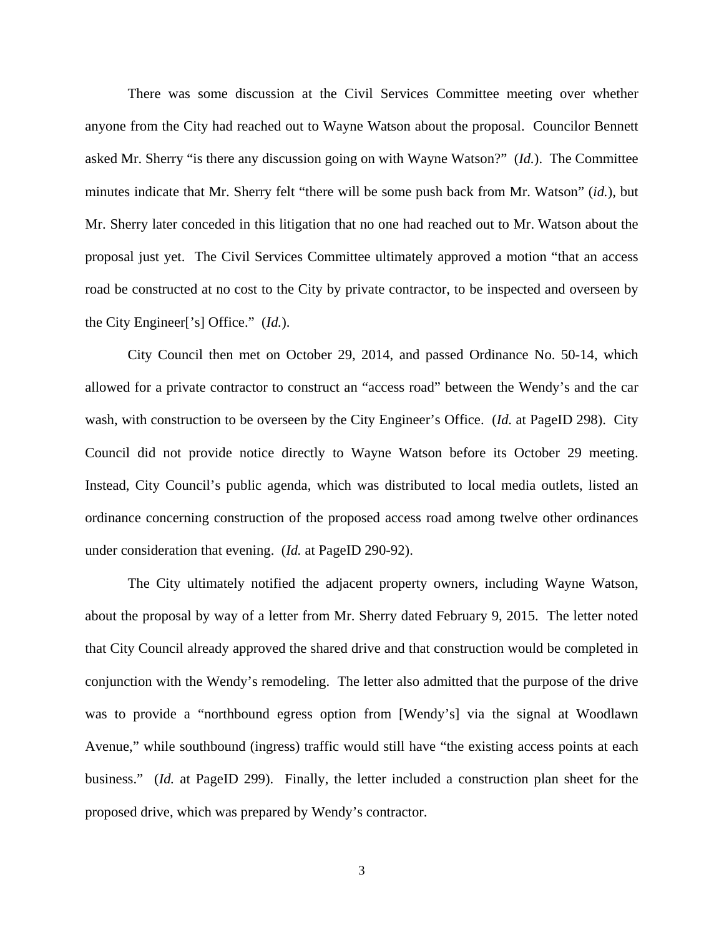There was some discussion at the Civil Services Committee meeting over whether anyone from the City had reached out to Wayne Watson about the proposal. Councilor Bennett asked Mr. Sherry "is there any discussion going on with Wayne Watson?" (*Id.*). The Committee minutes indicate that Mr. Sherry felt "there will be some push back from Mr. Watson" (*id.*), but Mr. Sherry later conceded in this litigation that no one had reached out to Mr. Watson about the proposal just yet. The Civil Services Committee ultimately approved a motion "that an access road be constructed at no cost to the City by private contractor, to be inspected and overseen by the City Engineer['s] Office." (*Id.*).

City Council then met on October 29, 2014, and passed Ordinance No. 50-14, which allowed for a private contractor to construct an "access road" between the Wendy's and the car wash, with construction to be overseen by the City Engineer's Office. (*Id.* at PageID 298). City Council did not provide notice directly to Wayne Watson before its October 29 meeting. Instead, City Council's public agenda, which was distributed to local media outlets, listed an ordinance concerning construction of the proposed access road among twelve other ordinances under consideration that evening. (*Id.* at PageID 290-92).

The City ultimately notified the adjacent property owners, including Wayne Watson, about the proposal by way of a letter from Mr. Sherry dated February 9, 2015. The letter noted that City Council already approved the shared drive and that construction would be completed in conjunction with the Wendy's remodeling. The letter also admitted that the purpose of the drive was to provide a "northbound egress option from [Wendy's] via the signal at Woodlawn Avenue," while southbound (ingress) traffic would still have "the existing access points at each business." (*Id.* at PageID 299). Finally, the letter included a construction plan sheet for the proposed drive, which was prepared by Wendy's contractor.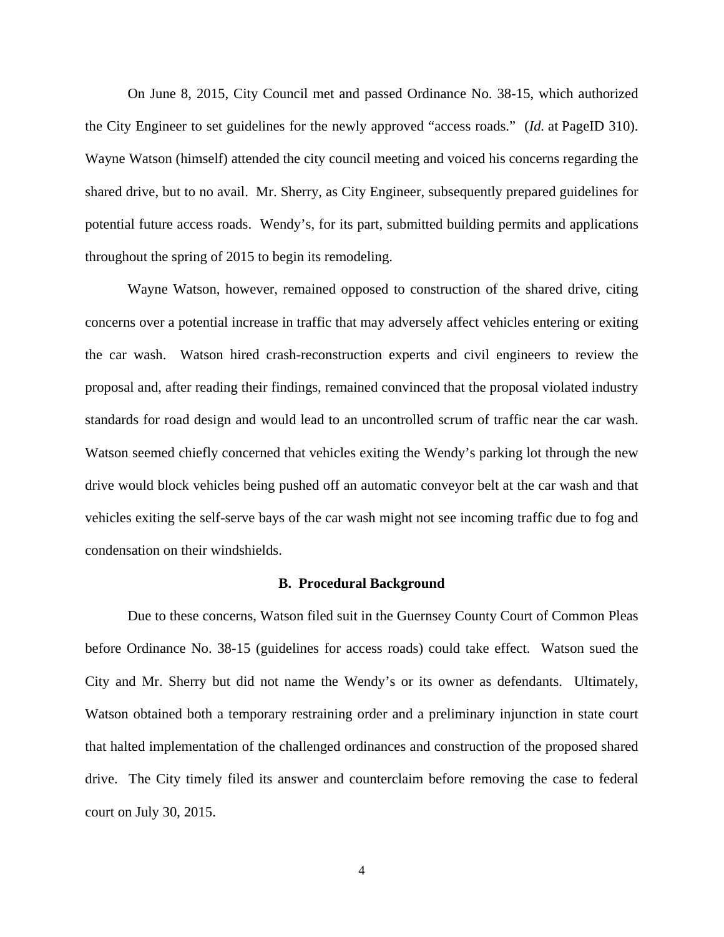On June 8, 2015, City Council met and passed Ordinance No. 38-15, which authorized the City Engineer to set guidelines for the newly approved "access roads." (*Id.* at PageID 310). Wayne Watson (himself) attended the city council meeting and voiced his concerns regarding the shared drive, but to no avail. Mr. Sherry, as City Engineer, subsequently prepared guidelines for potential future access roads. Wendy's, for its part, submitted building permits and applications throughout the spring of 2015 to begin its remodeling.

Wayne Watson, however, remained opposed to construction of the shared drive, citing concerns over a potential increase in traffic that may adversely affect vehicles entering or exiting the car wash. Watson hired crash-reconstruction experts and civil engineers to review the proposal and, after reading their findings, remained convinced that the proposal violated industry standards for road design and would lead to an uncontrolled scrum of traffic near the car wash. Watson seemed chiefly concerned that vehicles exiting the Wendy's parking lot through the new drive would block vehicles being pushed off an automatic conveyor belt at the car wash and that vehicles exiting the self-serve bays of the car wash might not see incoming traffic due to fog and condensation on their windshields.

#### **B. Procedural Background**

 Due to these concerns, Watson filed suit in the Guernsey County Court of Common Pleas before Ordinance No. 38-15 (guidelines for access roads) could take effect. Watson sued the City and Mr. Sherry but did not name the Wendy's or its owner as defendants. Ultimately, Watson obtained both a temporary restraining order and a preliminary injunction in state court that halted implementation of the challenged ordinances and construction of the proposed shared drive. The City timely filed its answer and counterclaim before removing the case to federal court on July 30, 2015.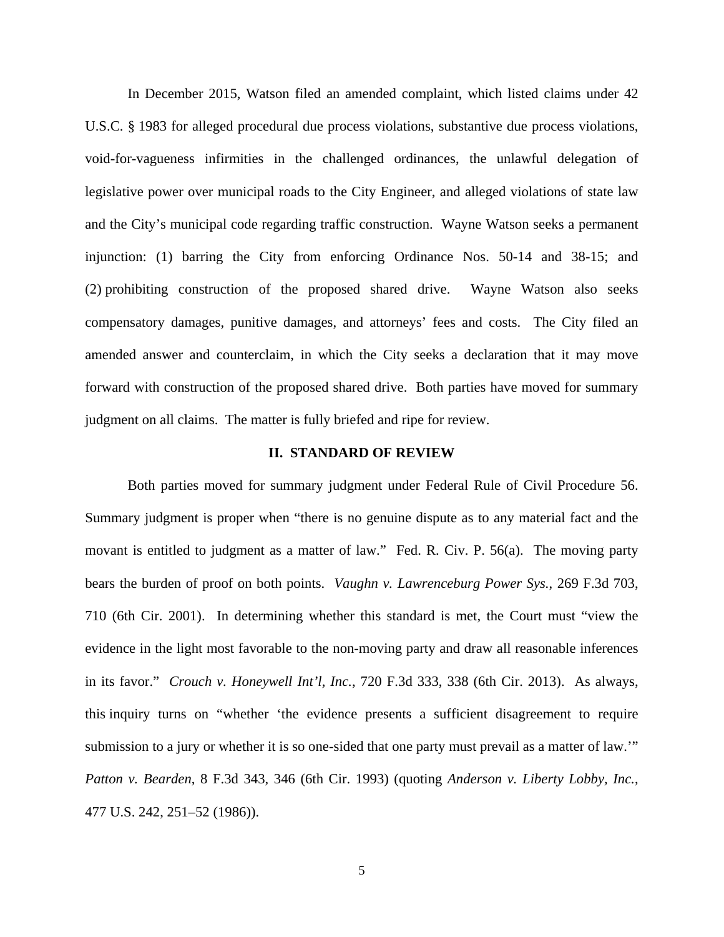In December 2015, Watson filed an amended complaint, which listed claims under 42 U.S.C. § 1983 for alleged procedural due process violations, substantive due process violations, void-for-vagueness infirmities in the challenged ordinances, the unlawful delegation of legislative power over municipal roads to the City Engineer, and alleged violations of state law and the City's municipal code regarding traffic construction. Wayne Watson seeks a permanent injunction: (1) barring the City from enforcing Ordinance Nos. 50-14 and 38-15; and (2) prohibiting construction of the proposed shared drive. Wayne Watson also seeks compensatory damages, punitive damages, and attorneys' fees and costs. The City filed an amended answer and counterclaim, in which the City seeks a declaration that it may move forward with construction of the proposed shared drive. Both parties have moved for summary judgment on all claims. The matter is fully briefed and ripe for review.

### **II. STANDARD OF REVIEW**

Both parties moved for summary judgment under Federal Rule of Civil Procedure 56. Summary judgment is proper when "there is no genuine dispute as to any material fact and the movant is entitled to judgment as a matter of law." Fed. R. Civ. P. 56(a). The moving party bears the burden of proof on both points. *Vaughn v. Lawrenceburg Power Sys.*, 269 F.3d 703, 710 (6th Cir. 2001). In determining whether this standard is met, the Court must "view the evidence in the light most favorable to the non-moving party and draw all reasonable inferences in its favor." *Crouch v. Honeywell Int'l, Inc.*, 720 F.3d 333, 338 (6th Cir. 2013). As always, this inquiry turns on "whether 'the evidence presents a sufficient disagreement to require submission to a jury or whether it is so one-sided that one party must prevail as a matter of law.'" *Patton v. Bearden*, 8 F.3d 343, 346 (6th Cir. 1993) (quoting *Anderson v. Liberty Lobby, Inc.*, 477 U.S. 242, 251–52 (1986)).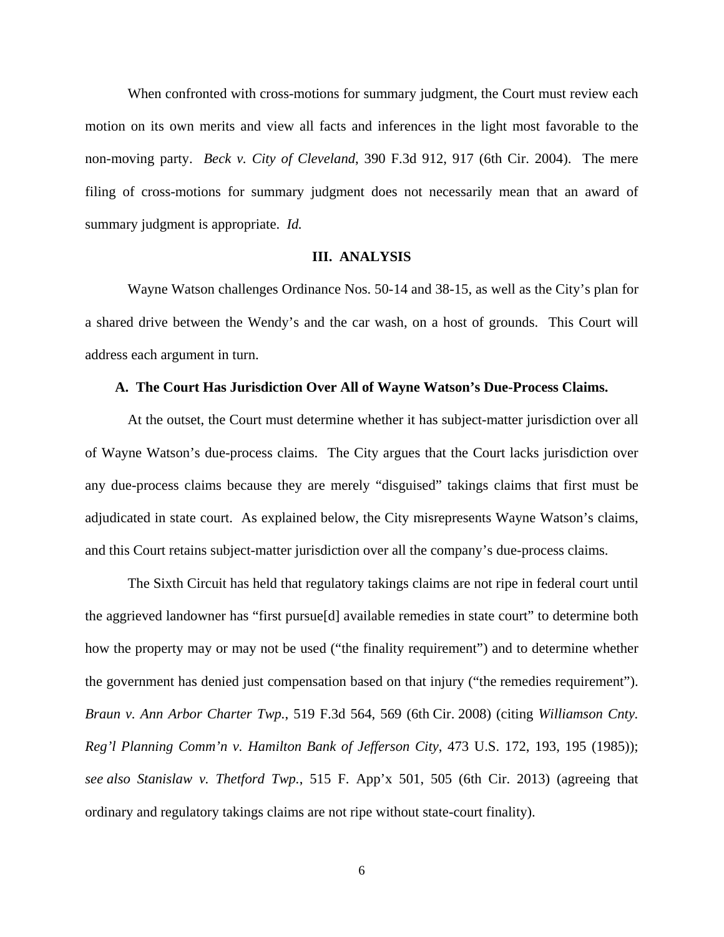When confronted with cross-motions for summary judgment, the Court must review each motion on its own merits and view all facts and inferences in the light most favorable to the non-moving party. *Beck v. City of Cleveland*, 390 F.3d 912, 917 (6th Cir. 2004). The mere filing of cross-motions for summary judgment does not necessarily mean that an award of summary judgment is appropriate. *Id.*

### **III. ANALYSIS**

 Wayne Watson challenges Ordinance Nos. 50-14 and 38-15, as well as the City's plan for a shared drive between the Wendy's and the car wash, on a host of grounds. This Court will address each argument in turn.

#### **A. The Court Has Jurisdiction Over All of Wayne Watson's Due-Process Claims.**

 At the outset, the Court must determine whether it has subject-matter jurisdiction over all of Wayne Watson's due-process claims. The City argues that the Court lacks jurisdiction over any due-process claims because they are merely "disguised" takings claims that first must be adjudicated in state court. As explained below, the City misrepresents Wayne Watson's claims, and this Court retains subject-matter jurisdiction over all the company's due-process claims.

The Sixth Circuit has held that regulatory takings claims are not ripe in federal court until the aggrieved landowner has "first pursue[d] available remedies in state court" to determine both how the property may or may not be used ("the finality requirement") and to determine whether the government has denied just compensation based on that injury ("the remedies requirement"). *Braun v. Ann Arbor Charter Twp.*, 519 F.3d 564, 569 (6th Cir. 2008) (citing *Williamson Cnty. Reg'l Planning Comm'n v. Hamilton Bank of Jefferson City*, 473 U.S. 172, 193, 195 (1985)); *see also Stanislaw v. Thetford Twp.*, 515 F. App'x 501, 505 (6th Cir. 2013) (agreeing that ordinary and regulatory takings claims are not ripe without state-court finality).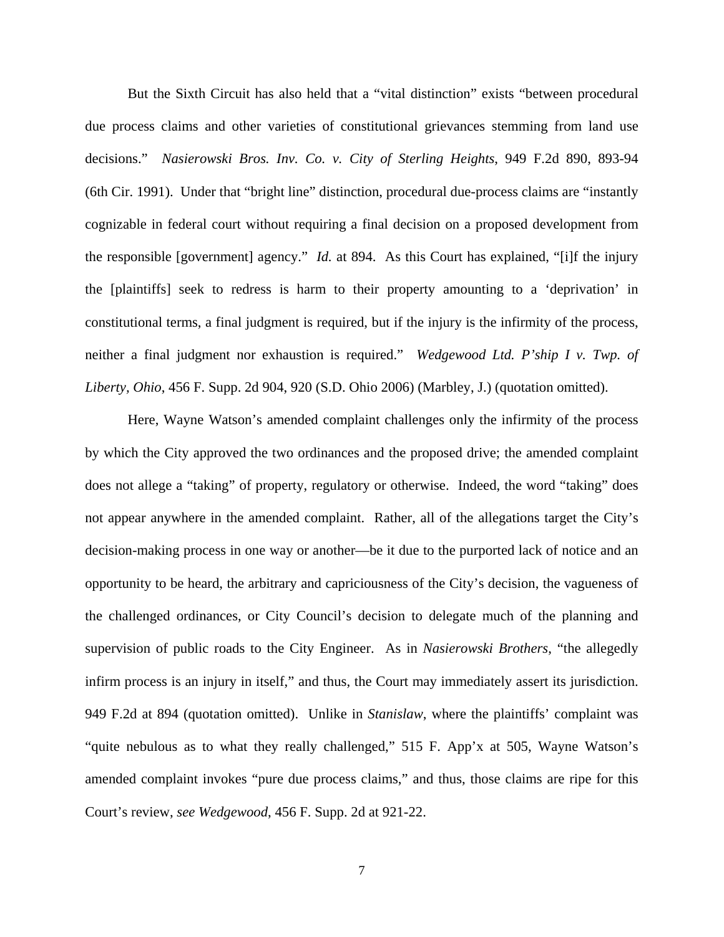But the Sixth Circuit has also held that a "vital distinction" exists "between procedural due process claims and other varieties of constitutional grievances stemming from land use decisions." *Nasierowski Bros. Inv. Co. v. City of Sterling Heights*, 949 F.2d 890, 893-94 (6th Cir. 1991). Under that "bright line" distinction, procedural due-process claims are "instantly cognizable in federal court without requiring a final decision on a proposed development from the responsible [government] agency." *Id.* at 894. As this Court has explained, "[i]f the injury the [plaintiffs] seek to redress is harm to their property amounting to a 'deprivation' in constitutional terms, a final judgment is required, but if the injury is the infirmity of the process, neither a final judgment nor exhaustion is required." *Wedgewood Ltd. P'ship I v. Twp. of Liberty, Ohio*, 456 F. Supp. 2d 904, 920 (S.D. Ohio 2006) (Marbley, J.) (quotation omitted).

Here, Wayne Watson's amended complaint challenges only the infirmity of the process by which the City approved the two ordinances and the proposed drive; the amended complaint does not allege a "taking" of property, regulatory or otherwise. Indeed, the word "taking" does not appear anywhere in the amended complaint. Rather, all of the allegations target the City's decision-making process in one way or another—be it due to the purported lack of notice and an opportunity to be heard, the arbitrary and capriciousness of the City's decision, the vagueness of the challenged ordinances, or City Council's decision to delegate much of the planning and supervision of public roads to the City Engineer. As in *Nasierowski Brothers*, "the allegedly infirm process is an injury in itself," and thus, the Court may immediately assert its jurisdiction. 949 F.2d at 894 (quotation omitted). Unlike in *Stanislaw*, where the plaintiffs' complaint was "quite nebulous as to what they really challenged," 515 F. App'x at 505, Wayne Watson's amended complaint invokes "pure due process claims," and thus, those claims are ripe for this Court's review, *see Wedgewood*, 456 F. Supp. 2d at 921-22.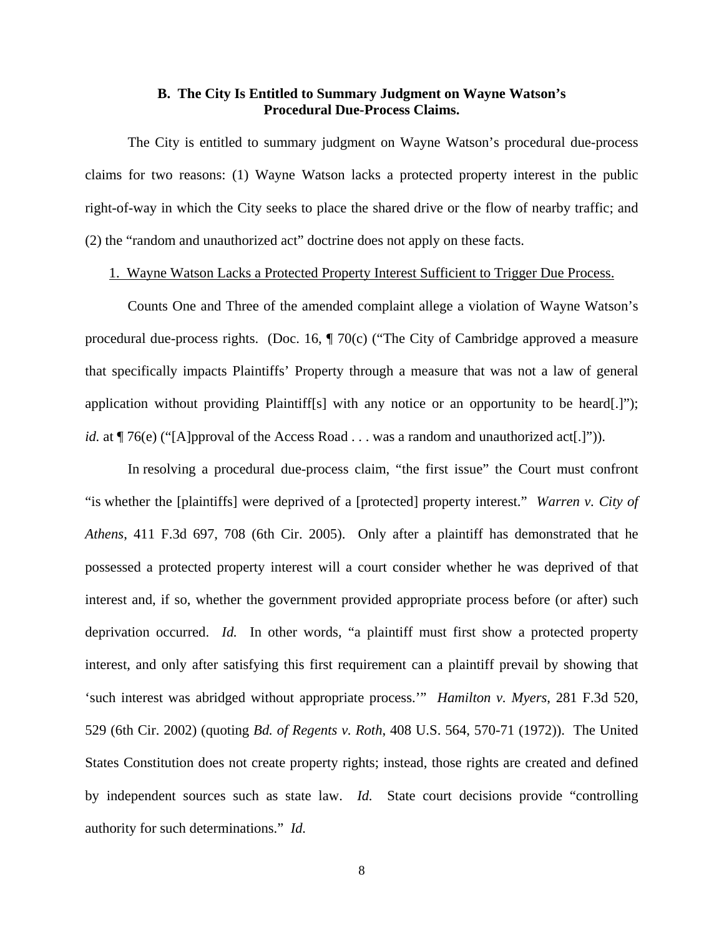# **B. The City Is Entitled to Summary Judgment on Wayne Watson's Procedural Due-Process Claims.**

 The City is entitled to summary judgment on Wayne Watson's procedural due-process claims for two reasons: (1) Wayne Watson lacks a protected property interest in the public right-of-way in which the City seeks to place the shared drive or the flow of nearby traffic; and (2) the "random and unauthorized act" doctrine does not apply on these facts.

## 1. Wayne Watson Lacks a Protected Property Interest Sufficient to Trigger Due Process.

 Counts One and Three of the amended complaint allege a violation of Wayne Watson's procedural due-process rights. (Doc. 16, ¶ 70(c) ("The City of Cambridge approved a measure that specifically impacts Plaintiffs' Property through a measure that was not a law of general application without providing Plaintiff[s] with any notice or an opportunity to be heard[.]"); *id.* at  $\P$  76(e) ("[A]pproval of the Access Road . . . was a random and unauthorized act[.]")).

In resolving a procedural due-process claim, "the first issue" the Court must confront "is whether the [plaintiffs] were deprived of a [protected] property interest." *Warren v. City of Athens*, 411 F.3d 697, 708 (6th Cir. 2005). Only after a plaintiff has demonstrated that he possessed a protected property interest will a court consider whether he was deprived of that interest and, if so, whether the government provided appropriate process before (or after) such deprivation occurred. *Id.* In other words, "a plaintiff must first show a protected property interest, and only after satisfying this first requirement can a plaintiff prevail by showing that 'such interest was abridged without appropriate process.'" *Hamilton v. Myers*, 281 F.3d 520, 529 (6th Cir. 2002) (quoting *Bd. of Regents v. Roth*, 408 U.S. 564, 570-71 (1972)). The United States Constitution does not create property rights; instead, those rights are created and defined by independent sources such as state law. *Id.* State court decisions provide "controlling authority for such determinations." *Id.*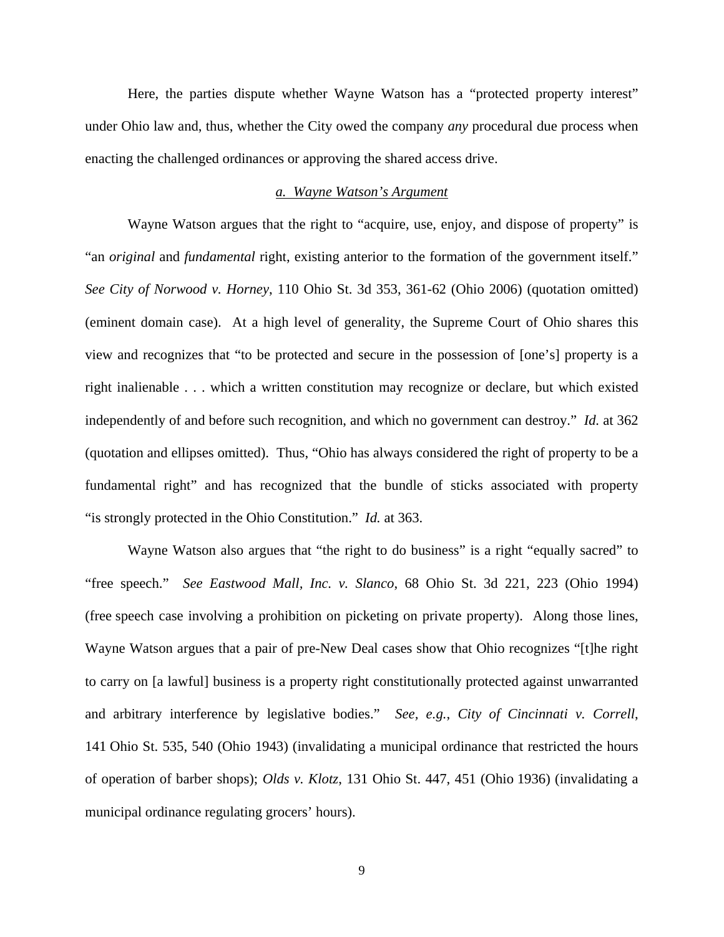Here, the parties dispute whether Wayne Watson has a "protected property interest" under Ohio law and, thus, whether the City owed the company *any* procedural due process when enacting the challenged ordinances or approving the shared access drive.

## *a. Wayne Watson's Argument*

Wayne Watson argues that the right to "acquire, use, enjoy, and dispose of property" is "an *original* and *fundamental* right, existing anterior to the formation of the government itself." *See City of Norwood v. Horney*, 110 Ohio St. 3d 353, 361-62 (Ohio 2006) (quotation omitted) (eminent domain case). At a high level of generality, the Supreme Court of Ohio shares this view and recognizes that "to be protected and secure in the possession of [one's] property is a right inalienable . . . which a written constitution may recognize or declare, but which existed independently of and before such recognition, and which no government can destroy." *Id.* at 362 (quotation and ellipses omitted). Thus, "Ohio has always considered the right of property to be a fundamental right" and has recognized that the bundle of sticks associated with property "is strongly protected in the Ohio Constitution." *Id.* at 363.

Wayne Watson also argues that "the right to do business" is a right "equally sacred" to "free speech." *See Eastwood Mall, Inc. v. Slanco*, 68 Ohio St. 3d 221, 223 (Ohio 1994) (free speech case involving a prohibition on picketing on private property). Along those lines, Wayne Watson argues that a pair of pre-New Deal cases show that Ohio recognizes "[t]he right to carry on [a lawful] business is a property right constitutionally protected against unwarranted and arbitrary interference by legislative bodies." *See, e.g.*, *City of Cincinnati v. Correll*, 141 Ohio St. 535, 540 (Ohio 1943) (invalidating a municipal ordinance that restricted the hours of operation of barber shops); *Olds v. Klotz*, 131 Ohio St. 447, 451 (Ohio 1936) (invalidating a municipal ordinance regulating grocers' hours).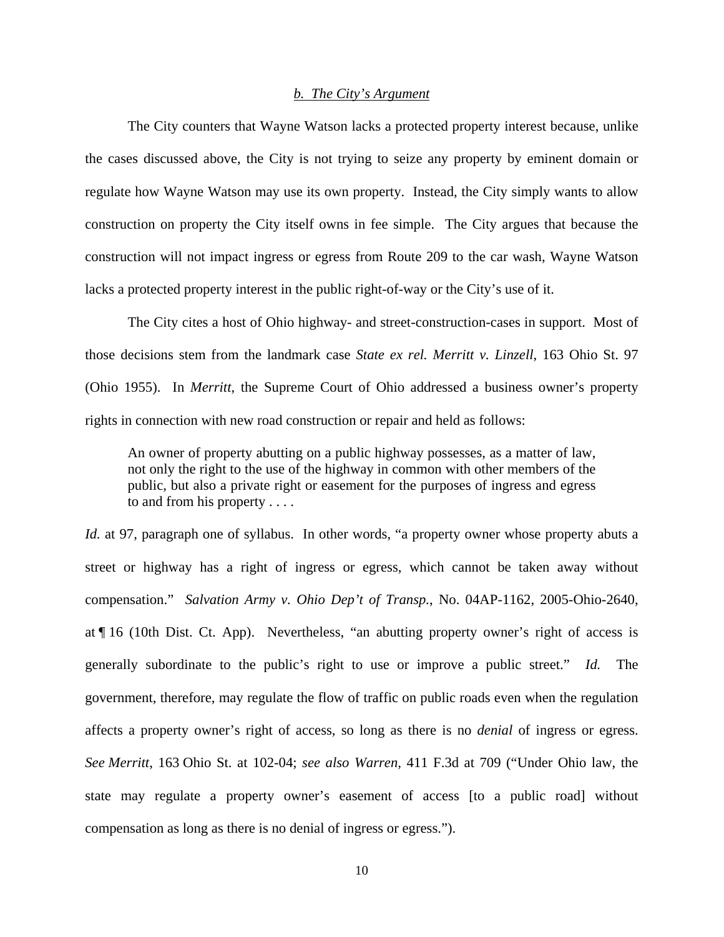### *b. The City's Argument*

The City counters that Wayne Watson lacks a protected property interest because, unlike the cases discussed above, the City is not trying to seize any property by eminent domain or regulate how Wayne Watson may use its own property. Instead, the City simply wants to allow construction on property the City itself owns in fee simple. The City argues that because the construction will not impact ingress or egress from Route 209 to the car wash, Wayne Watson lacks a protected property interest in the public right-of-way or the City's use of it.

 The City cites a host of Ohio highway- and street-construction-cases in support. Most of those decisions stem from the landmark case *State ex rel. Merritt v. Linzell*, 163 Ohio St. 97 (Ohio 1955). In *Merritt*, the Supreme Court of Ohio addressed a business owner's property rights in connection with new road construction or repair and held as follows:

An owner of property abutting on a public highway possesses, as a matter of law, not only the right to the use of the highway in common with other members of the public, but also a private right or easement for the purposes of ingress and egress to and from his property . . . .

*Id.* at 97, paragraph one of syllabus. In other words, "a property owner whose property abuts a street or highway has a right of ingress or egress, which cannot be taken away without compensation." *Salvation Army v. Ohio Dep't of Transp.*, No. 04AP-1162, 2005-Ohio-2640, at ¶ 16 (10th Dist. Ct. App). Nevertheless, "an abutting property owner's right of access is generally subordinate to the public's right to use or improve a public street." *Id.* The government, therefore, may regulate the flow of traffic on public roads even when the regulation affects a property owner's right of access, so long as there is no *denial* of ingress or egress. *See Merritt*, 163 Ohio St. at 102-04; *see also Warren*, 411 F.3d at 709 ("Under Ohio law, the state may regulate a property owner's easement of access [to a public road] without compensation as long as there is no denial of ingress or egress.").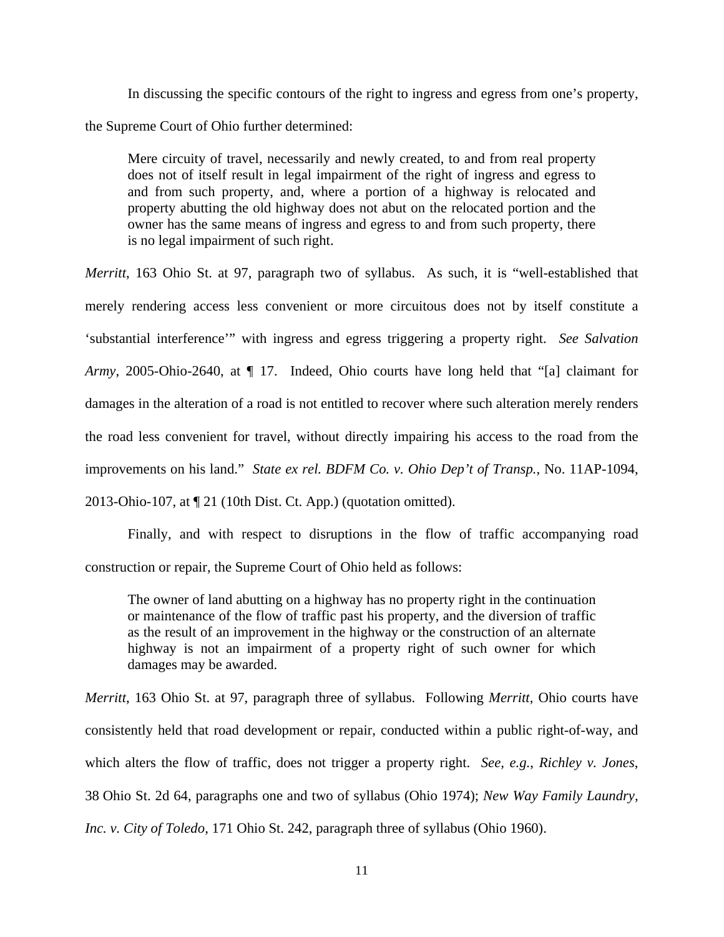In discussing the specific contours of the right to ingress and egress from one's property, the Supreme Court of Ohio further determined:

Mere circuity of travel, necessarily and newly created, to and from real property does not of itself result in legal impairment of the right of ingress and egress to and from such property, and, where a portion of a highway is relocated and property abutting the old highway does not abut on the relocated portion and the owner has the same means of ingress and egress to and from such property, there is no legal impairment of such right.

*Merritt*, 163 Ohio St. at 97, paragraph two of syllabus. As such, it is "well-established that merely rendering access less convenient or more circuitous does not by itself constitute a 'substantial interference'" with ingress and egress triggering a property right. *See Salvation Army*, 2005-Ohio-2640, at ¶ 17. Indeed, Ohio courts have long held that "[a] claimant for damages in the alteration of a road is not entitled to recover where such alteration merely renders the road less convenient for travel, without directly impairing his access to the road from the improvements on his land." *State ex rel. BDFM Co. v. Ohio Dep't of Transp.*, No. 11AP-1094, 2013-Ohio-107, at ¶ 21 (10th Dist. Ct. App.) (quotation omitted).

 Finally, and with respect to disruptions in the flow of traffic accompanying road construction or repair, the Supreme Court of Ohio held as follows:

The owner of land abutting on a highway has no property right in the continuation or maintenance of the flow of traffic past his property, and the diversion of traffic as the result of an improvement in the highway or the construction of an alternate highway is not an impairment of a property right of such owner for which damages may be awarded.

*Merritt*, 163 Ohio St. at 97, paragraph three of syllabus. Following *Merritt*, Ohio courts have consistently held that road development or repair, conducted within a public right-of-way, and which alters the flow of traffic, does not trigger a property right. *See, e.g.*, *Richley v. Jones*, 38 Ohio St. 2d 64, paragraphs one and two of syllabus (Ohio 1974); *New Way Family Laundry, Inc. v. City of Toledo*, 171 Ohio St. 242, paragraph three of syllabus (Ohio 1960).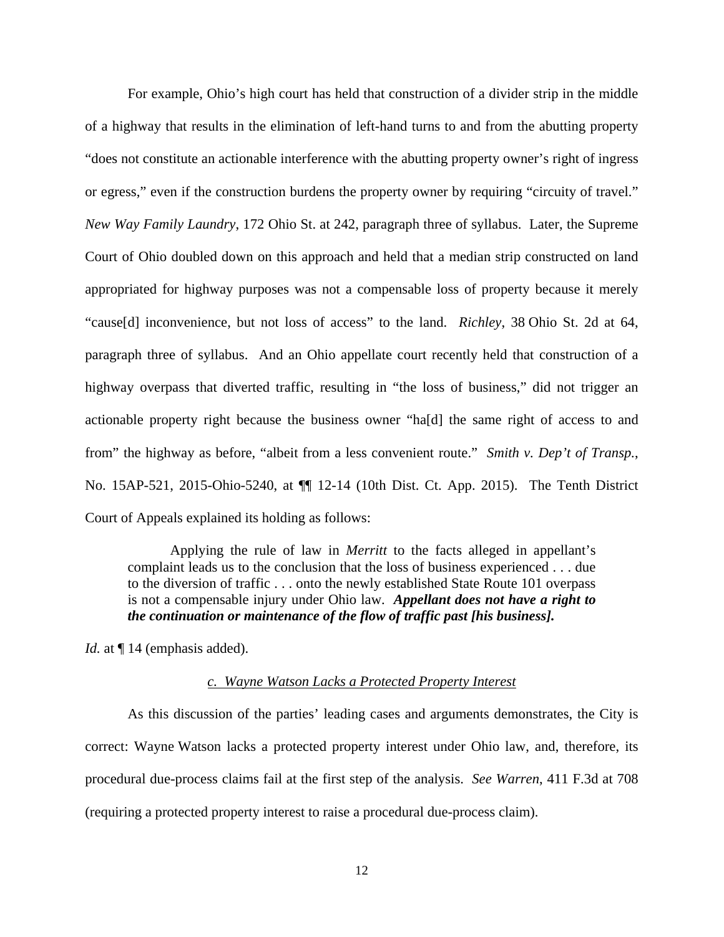For example, Ohio's high court has held that construction of a divider strip in the middle of a highway that results in the elimination of left-hand turns to and from the abutting property "does not constitute an actionable interference with the abutting property owner's right of ingress or egress," even if the construction burdens the property owner by requiring "circuity of travel." *New Way Family Laundry*, 172 Ohio St. at 242, paragraph three of syllabus. Later, the Supreme Court of Ohio doubled down on this approach and held that a median strip constructed on land appropriated for highway purposes was not a compensable loss of property because it merely "cause[d] inconvenience, but not loss of access" to the land. *Richley*, 38 Ohio St. 2d at 64, paragraph three of syllabus. And an Ohio appellate court recently held that construction of a highway overpass that diverted traffic, resulting in "the loss of business," did not trigger an actionable property right because the business owner "ha[d] the same right of access to and from" the highway as before, "albeit from a less convenient route." *Smith v. Dep't of Transp.*, No. 15AP-521, 2015-Ohio-5240, at ¶¶ 12-14 (10th Dist. Ct. App. 2015). The Tenth District Court of Appeals explained its holding as follows:

 Applying the rule of law in *Merritt* to the facts alleged in appellant's complaint leads us to the conclusion that the loss of business experienced . . . due to the diversion of traffic . . . onto the newly established State Route 101 overpass is not a compensable injury under Ohio law. *Appellant does not have a right to the continuation or maintenance of the flow of traffic past [his business].* 

*Id.* at  $\P$  14 (emphasis added).

#### *c. Wayne Watson Lacks a Protected Property Interest*

 As this discussion of the parties' leading cases and arguments demonstrates, the City is correct: Wayne Watson lacks a protected property interest under Ohio law, and, therefore, its procedural due-process claims fail at the first step of the analysis. *See Warren*, 411 F.3d at 708 (requiring a protected property interest to raise a procedural due-process claim).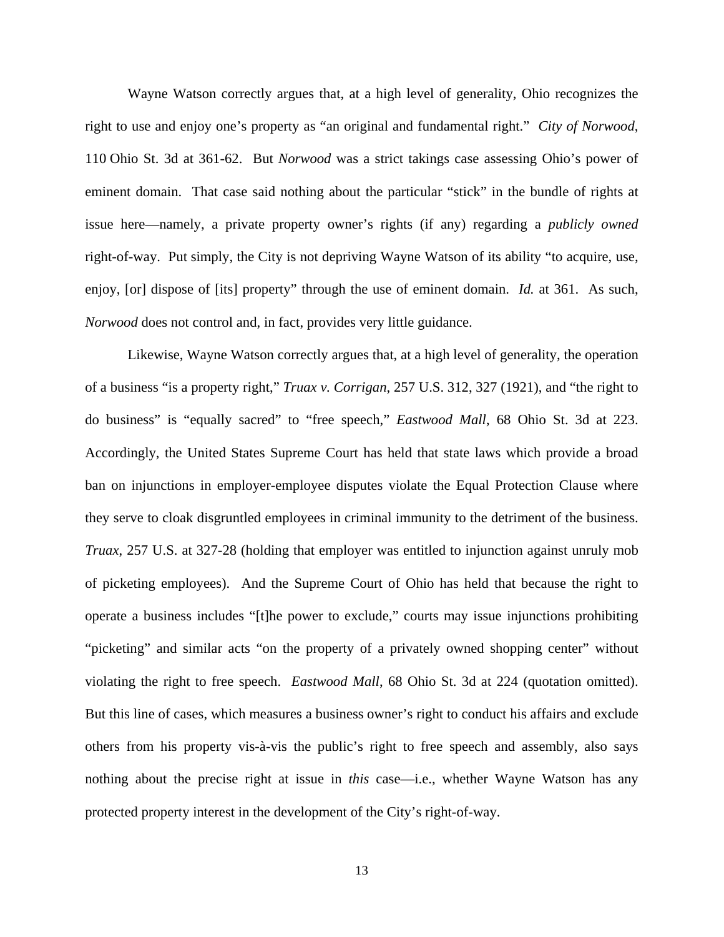Wayne Watson correctly argues that, at a high level of generality, Ohio recognizes the right to use and enjoy one's property as "an original and fundamental right." *City of Norwood*, 110 Ohio St. 3d at 361-62. But *Norwood* was a strict takings case assessing Ohio's power of eminent domain. That case said nothing about the particular "stick" in the bundle of rights at issue here—namely, a private property owner's rights (if any) regarding a *publicly owned*  right-of-way. Put simply, the City is not depriving Wayne Watson of its ability "to acquire, use, enjoy, [or] dispose of [its] property" through the use of eminent domain. *Id.* at 361. As such, *Norwood* does not control and, in fact, provides very little guidance.

 Likewise, Wayne Watson correctly argues that, at a high level of generality, the operation of a business "is a property right," *Truax v. Corrigan*, 257 U.S. 312, 327 (1921), and "the right to do business" is "equally sacred" to "free speech," *Eastwood Mall*, 68 Ohio St. 3d at 223. Accordingly, the United States Supreme Court has held that state laws which provide a broad ban on injunctions in employer-employee disputes violate the Equal Protection Clause where they serve to cloak disgruntled employees in criminal immunity to the detriment of the business. *Truax*, 257 U.S. at 327-28 (holding that employer was entitled to injunction against unruly mob of picketing employees). And the Supreme Court of Ohio has held that because the right to operate a business includes "[t]he power to exclude," courts may issue injunctions prohibiting "picketing" and similar acts "on the property of a privately owned shopping center" without violating the right to free speech. *Eastwood Mall*, 68 Ohio St. 3d at 224 (quotation omitted). But this line of cases, which measures a business owner's right to conduct his affairs and exclude others from his property vis-à-vis the public's right to free speech and assembly, also says nothing about the precise right at issue in *this* case—i.e., whether Wayne Watson has any protected property interest in the development of the City's right-of-way.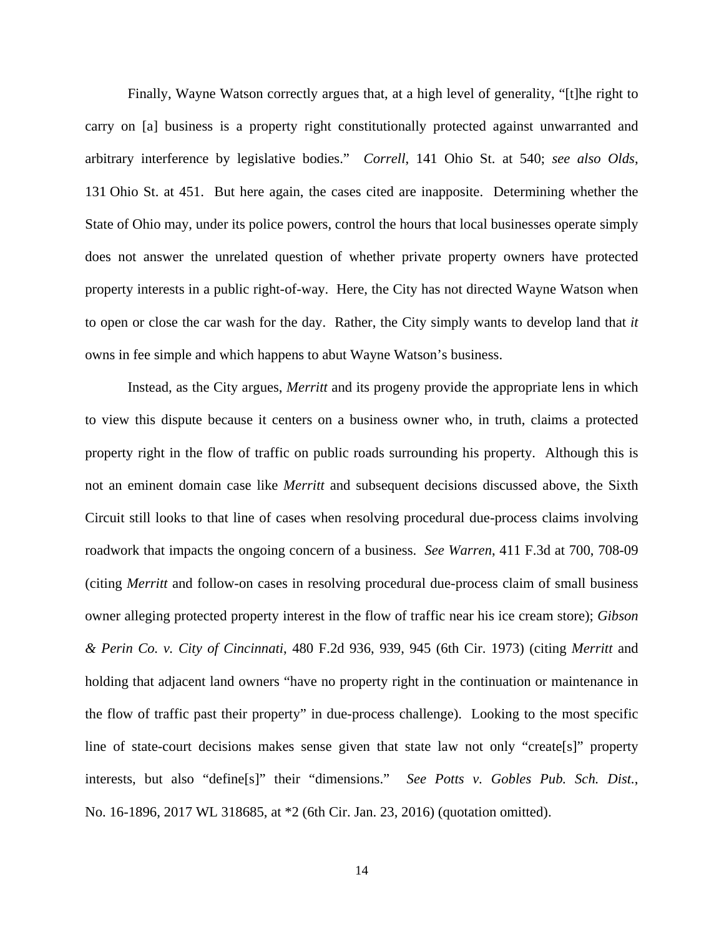Finally, Wayne Watson correctly argues that, at a high level of generality, "[t]he right to carry on [a] business is a property right constitutionally protected against unwarranted and arbitrary interference by legislative bodies." *Correll*, 141 Ohio St. at 540; *see also Olds*, 131 Ohio St. at 451. But here again, the cases cited are inapposite. Determining whether the State of Ohio may, under its police powers, control the hours that local businesses operate simply does not answer the unrelated question of whether private property owners have protected property interests in a public right-of-way. Here, the City has not directed Wayne Watson when to open or close the car wash for the day. Rather, the City simply wants to develop land that *it*  owns in fee simple and which happens to abut Wayne Watson's business.

 Instead, as the City argues, *Merritt* and its progeny provide the appropriate lens in which to view this dispute because it centers on a business owner who, in truth, claims a protected property right in the flow of traffic on public roads surrounding his property. Although this is not an eminent domain case like *Merritt* and subsequent decisions discussed above, the Sixth Circuit still looks to that line of cases when resolving procedural due-process claims involving roadwork that impacts the ongoing concern of a business. *See Warren*, 411 F.3d at 700, 708-09 (citing *Merritt* and follow-on cases in resolving procedural due-process claim of small business owner alleging protected property interest in the flow of traffic near his ice cream store); *Gibson & Perin Co. v. City of Cincinnati*, 480 F.2d 936, 939, 945 (6th Cir. 1973) (citing *Merritt* and holding that adjacent land owners "have no property right in the continuation or maintenance in the flow of traffic past their property" in due-process challenge). Looking to the most specific line of state-court decisions makes sense given that state law not only "create[s]" property interests, but also "define[s]" their "dimensions." *See Potts v. Gobles Pub. Sch. Dist.*, No. 16-1896, 2017 WL 318685, at \*2 (6th Cir. Jan. 23, 2016) (quotation omitted).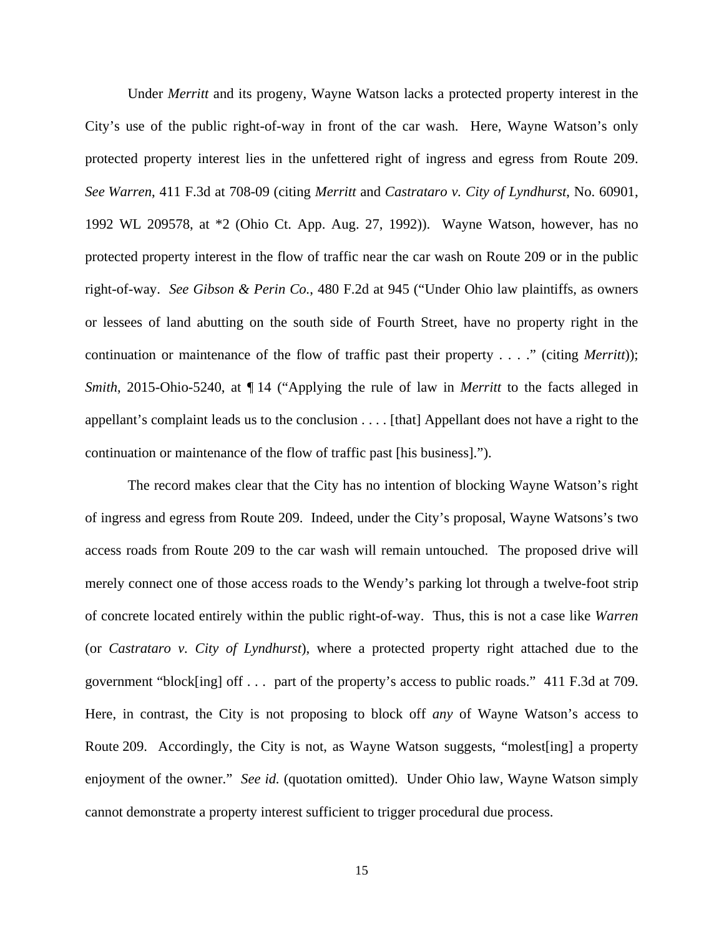Under *Merritt* and its progeny, Wayne Watson lacks a protected property interest in the City's use of the public right-of-way in front of the car wash. Here, Wayne Watson's only protected property interest lies in the unfettered right of ingress and egress from Route 209. *See Warren*, 411 F.3d at 708-09 (citing *Merritt* and *Castrataro v. City of Lyndhurst*, No. 60901, 1992 WL 209578, at \*2 (Ohio Ct. App. Aug. 27, 1992)). Wayne Watson, however, has no protected property interest in the flow of traffic near the car wash on Route 209 or in the public right-of-way. *See Gibson & Perin Co.*, 480 F.2d at 945 ("Under Ohio law plaintiffs, as owners or lessees of land abutting on the south side of Fourth Street, have no property right in the continuation or maintenance of the flow of traffic past their property . . . ." (citing *Merritt*)); *Smith*, 2015-Ohio-5240, at  $\P$  14 ("Applying the rule of law in *Merritt* to the facts alleged in appellant's complaint leads us to the conclusion . . . . [that] Appellant does not have a right to the continuation or maintenance of the flow of traffic past [his business].").

 The record makes clear that the City has no intention of blocking Wayne Watson's right of ingress and egress from Route 209. Indeed, under the City's proposal, Wayne Watsons's two access roads from Route 209 to the car wash will remain untouched. The proposed drive will merely connect one of those access roads to the Wendy's parking lot through a twelve-foot strip of concrete located entirely within the public right-of-way. Thus, this is not a case like *Warren*  (or *Castrataro v. City of Lyndhurst*), where a protected property right attached due to the government "block[ing] off . . . part of the property's access to public roads." 411 F.3d at 709. Here, in contrast, the City is not proposing to block off *any* of Wayne Watson's access to Route 209. Accordingly, the City is not, as Wayne Watson suggests, "molest [ing] a property enjoyment of the owner." *See id.* (quotation omitted). Under Ohio law, Wayne Watson simply cannot demonstrate a property interest sufficient to trigger procedural due process.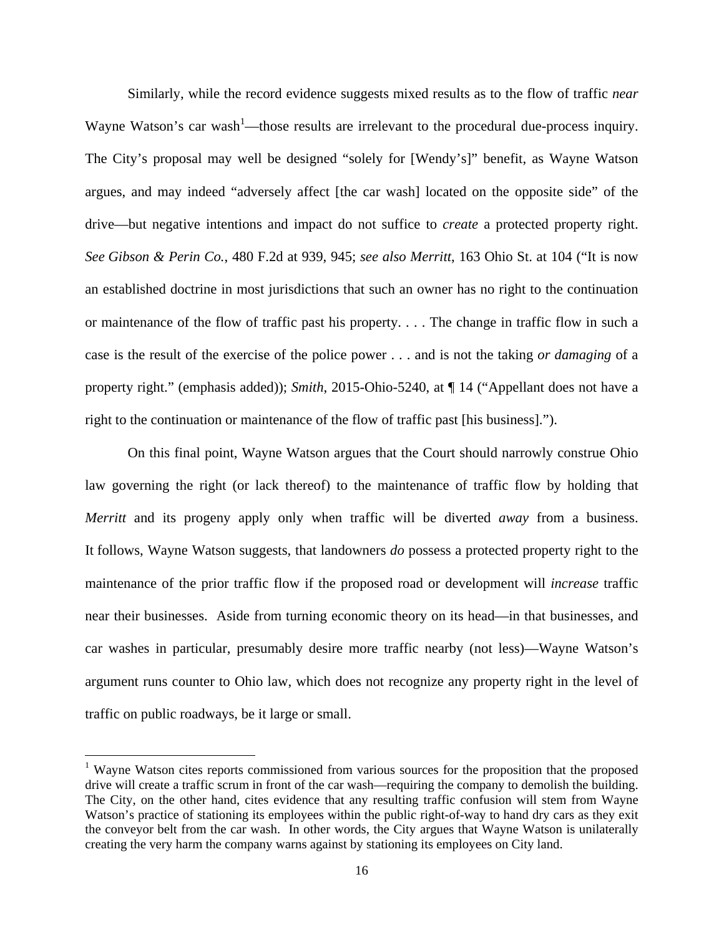Similarly, while the record evidence suggests mixed results as to the flow of traffic *near* Wayne Watson's car wash<sup>1</sup>—those results are irrelevant to the procedural due-process inquiry. The City's proposal may well be designed "solely for [Wendy's]" benefit, as Wayne Watson argues, and may indeed "adversely affect [the car wash] located on the opposite side" of the drive—but negative intentions and impact do not suffice to *create* a protected property right. *See Gibson & Perin Co.*, 480 F.2d at 939, 945; *see also Merritt*, 163 Ohio St. at 104 ("It is now an established doctrine in most jurisdictions that such an owner has no right to the continuation or maintenance of the flow of traffic past his property. . . . The change in traffic flow in such a case is the result of the exercise of the police power . . . and is not the taking *or damaging* of a property right." (emphasis added)); *Smith*, 2015-Ohio-5240, at ¶ 14 ("Appellant does not have a right to the continuation or maintenance of the flow of traffic past [his business].").

On this final point, Wayne Watson argues that the Court should narrowly construe Ohio law governing the right (or lack thereof) to the maintenance of traffic flow by holding that *Merritt* and its progeny apply only when traffic will be diverted *away* from a business. It follows, Wayne Watson suggests, that landowners *do* possess a protected property right to the maintenance of the prior traffic flow if the proposed road or development will *increase* traffic near their businesses. Aside from turning economic theory on its head—in that businesses, and car washes in particular, presumably desire more traffic nearby (not less)—Wayne Watson's argument runs counter to Ohio law, which does not recognize any property right in the level of traffic on public roadways, be it large or small.

<u>.</u>

<sup>&</sup>lt;sup>1</sup> Wayne Watson cites reports commissioned from various sources for the proposition that the proposed drive will create a traffic scrum in front of the car wash—requiring the company to demolish the building. The City, on the other hand, cites evidence that any resulting traffic confusion will stem from Wayne Watson's practice of stationing its employees within the public right-of-way to hand dry cars as they exit the conveyor belt from the car wash. In other words, the City argues that Wayne Watson is unilaterally creating the very harm the company warns against by stationing its employees on City land.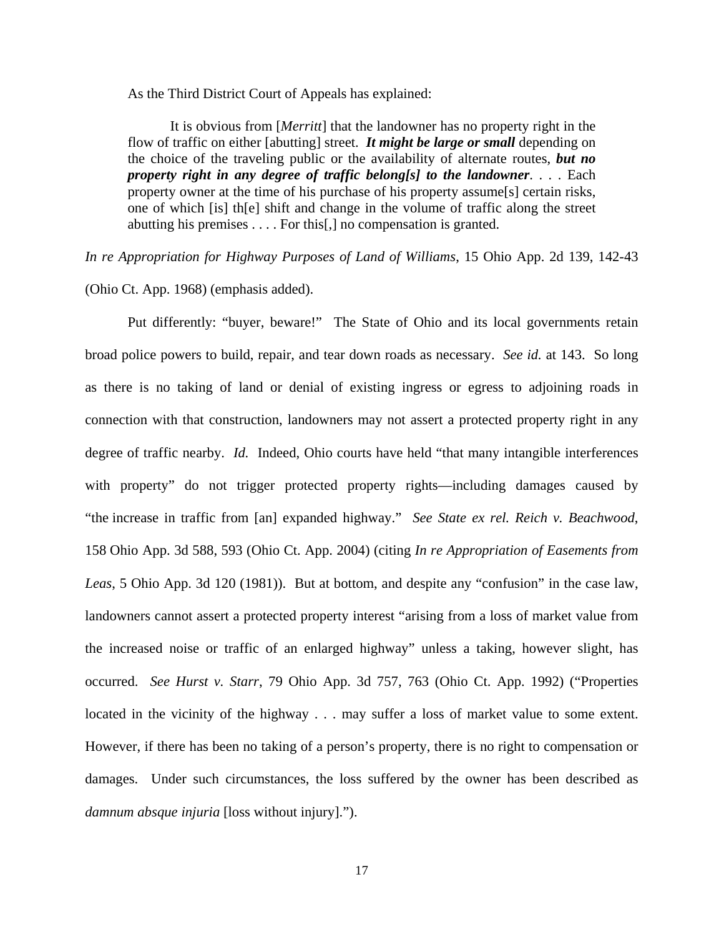As the Third District Court of Appeals has explained:

It is obvious from [*Merritt*] that the landowner has no property right in the flow of traffic on either [abutting] street. *It might be large or small* depending on the choice of the traveling public or the availability of alternate routes, *but no property right in any degree of traffic belong[s] to the landowner*. . . . Each property owner at the time of his purchase of his property assume[s] certain risks, one of which [is] th[e] shift and change in the volume of traffic along the street abutting his premises . . . . For this[,] no compensation is granted.

*In re Appropriation for Highway Purposes of Land of Williams*, 15 Ohio App. 2d 139, 142-43

(Ohio Ct. App. 1968) (emphasis added).

Put differently: "buyer, beware!" The State of Ohio and its local governments retain broad police powers to build, repair, and tear down roads as necessary. *See id.* at 143. So long as there is no taking of land or denial of existing ingress or egress to adjoining roads in connection with that construction, landowners may not assert a protected property right in any degree of traffic nearby. *Id.* Indeed, Ohio courts have held "that many intangible interferences with property" do not trigger protected property rights—including damages caused by "the increase in traffic from [an] expanded highway." *See State ex rel. Reich v. Beachwood*, 158 Ohio App. 3d 588, 593 (Ohio Ct. App. 2004) (citing *In re Appropriation of Easements from Leas*, 5 Ohio App. 3d 120 (1981)). But at bottom, and despite any "confusion" in the case law, landowners cannot assert a protected property interest "arising from a loss of market value from the increased noise or traffic of an enlarged highway" unless a taking, however slight, has occurred. *See Hurst v. Starr*, 79 Ohio App. 3d 757, 763 (Ohio Ct. App. 1992) ("Properties located in the vicinity of the highway . . . may suffer a loss of market value to some extent. However, if there has been no taking of a person's property, there is no right to compensation or damages. Under such circumstances, the loss suffered by the owner has been described as *damnum absque injuria* [loss without injury].").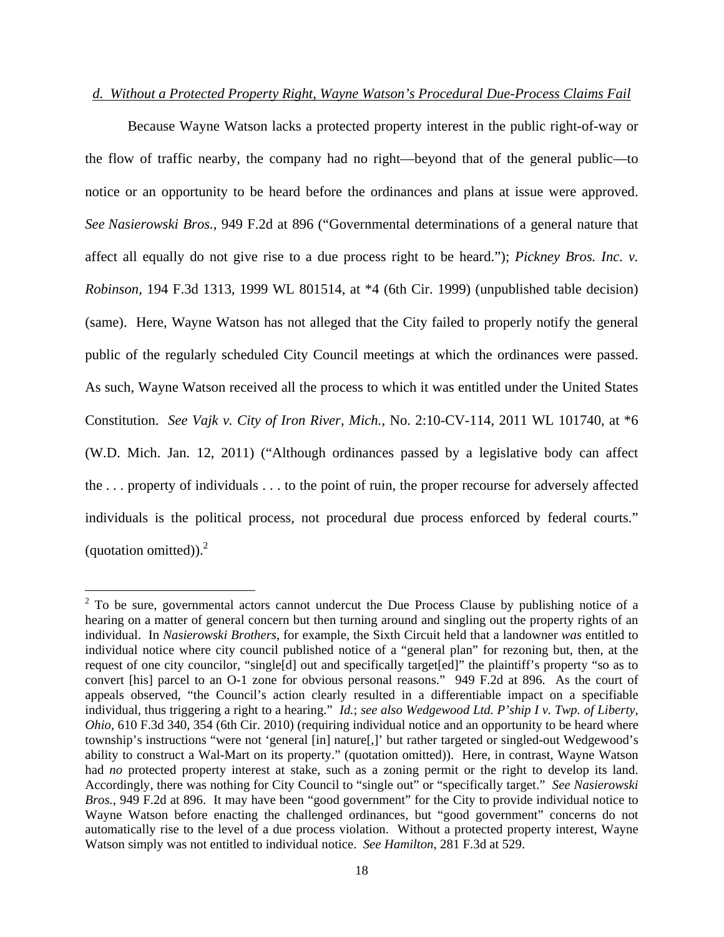## *d. Without a Protected Property Right, Wayne Watson's Procedural Due-Process Claims Fail*

Because Wayne Watson lacks a protected property interest in the public right-of-way or the flow of traffic nearby, the company had no right—beyond that of the general public—to notice or an opportunity to be heard before the ordinances and plans at issue were approved. *See Nasierowski Bros.*, 949 F.2d at 896 ("Governmental determinations of a general nature that affect all equally do not give rise to a due process right to be heard."); *Pickney Bros. Inc. v. Robinson*, 194 F.3d 1313, 1999 WL 801514, at \*4 (6th Cir. 1999) (unpublished table decision) (same). Here, Wayne Watson has not alleged that the City failed to properly notify the general public of the regularly scheduled City Council meetings at which the ordinances were passed. As such, Wayne Watson received all the process to which it was entitled under the United States Constitution. *See Vajk v. City of Iron River, Mich.*, No. 2:10-CV-114, 2011 WL 101740, at \*6 (W.D. Mich. Jan. 12, 2011) ("Although ordinances passed by a legislative body can affect the . . . property of individuals . . . to the point of ruin, the proper recourse for adversely affected individuals is the political process, not procedural due process enforced by federal courts." (quotation omitted)). $^{2}$ 

 $\overline{a}$ 

 $2^2$  To be sure, governmental actors cannot undercut the Due Process Clause by publishing notice of a hearing on a matter of general concern but then turning around and singling out the property rights of an individual. In *Nasierowski Brothers*, for example, the Sixth Circuit held that a landowner *was* entitled to individual notice where city council published notice of a "general plan" for rezoning but, then, at the request of one city councilor, "single[d] out and specifically target[ed]" the plaintiff's property "so as to convert [his] parcel to an O-1 zone for obvious personal reasons." 949 F.2d at 896.As the court of appeals observed, "the Council's action clearly resulted in a differentiable impact on a specifiable individual, thus triggering a right to a hearing." *Id.*; *see also Wedgewood Ltd. P'ship I v. Twp. of Liberty, Ohio*, 610 F.3d 340, 354 (6th Cir. 2010) (requiring individual notice and an opportunity to be heard where township's instructions "were not 'general [in] nature[,]' but rather targeted or singled-out Wedgewood's ability to construct a Wal-Mart on its property." (quotation omitted)). Here, in contrast, Wayne Watson had *no* protected property interest at stake, such as a zoning permit or the right to develop its land. Accordingly, there was nothing for City Council to "single out" or "specifically target." *See Nasierowski Bros.*, 949 F.2d at 896.It may have been "good government" for the City to provide individual notice to Wayne Watson before enacting the challenged ordinances, but "good government" concerns do not automatically rise to the level of a due process violation. Without a protected property interest, Wayne Watson simply was not entitled to individual notice. *See Hamilton*, 281 F.3d at 529.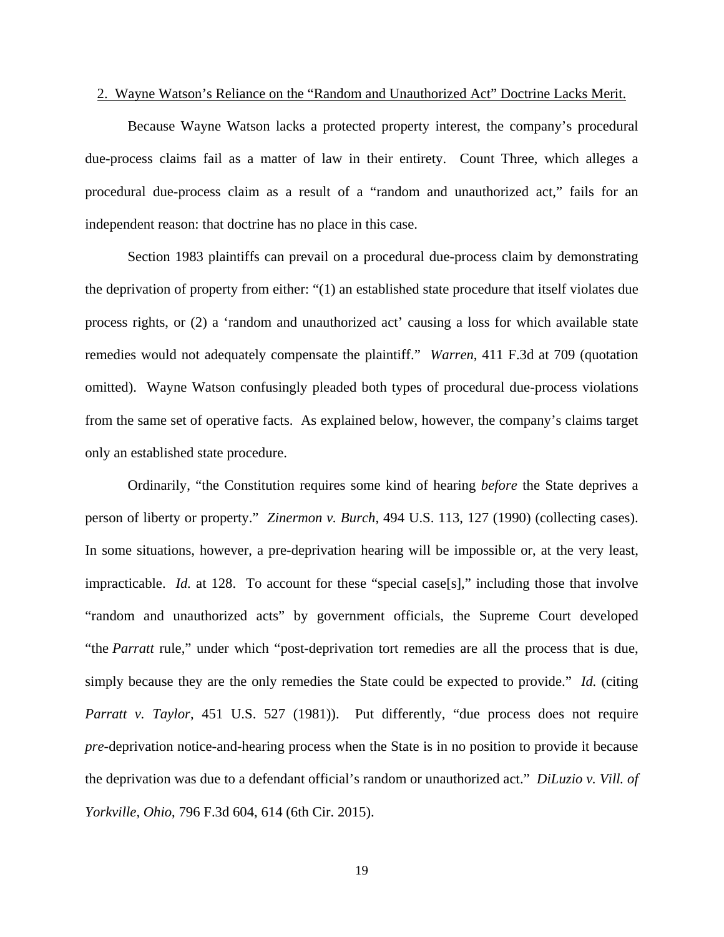### 2. Wayne Watson's Reliance on the "Random and Unauthorized Act" Doctrine Lacks Merit.

 Because Wayne Watson lacks a protected property interest, the company's procedural due-process claims fail as a matter of law in their entirety. Count Three, which alleges a procedural due-process claim as a result of a "random and unauthorized act," fails for an independent reason: that doctrine has no place in this case.

Section 1983 plaintiffs can prevail on a procedural due-process claim by demonstrating the deprivation of property from either: "(1) an established state procedure that itself violates due process rights, or (2) a 'random and unauthorized act' causing a loss for which available state remedies would not adequately compensate the plaintiff." *Warren*, 411 F.3d at 709 (quotation omitted). Wayne Watson confusingly pleaded both types of procedural due-process violations from the same set of operative facts. As explained below, however, the company's claims target only an established state procedure.

Ordinarily, "the Constitution requires some kind of hearing *before* the State deprives a person of liberty or property." *Zinermon v. Burch*, 494 U.S. 113, 127 (1990) (collecting cases). In some situations, however, a pre-deprivation hearing will be impossible or, at the very least, impracticable. *Id.* at 128. To account for these "special case[s]," including those that involve "random and unauthorized acts" by government officials, the Supreme Court developed "the *Parratt* rule," under which "post-deprivation tort remedies are all the process that is due, simply because they are the only remedies the State could be expected to provide." *Id.* (citing *Parratt v. Taylor*, 451 U.S. 527 (1981)). Put differently, "due process does not require *pre*-deprivation notice-and-hearing process when the State is in no position to provide it because the deprivation was due to a defendant official's random or unauthorized act." *DiLuzio v. Vill. of Yorkville, Ohio*, 796 F.3d 604, 614 (6th Cir. 2015).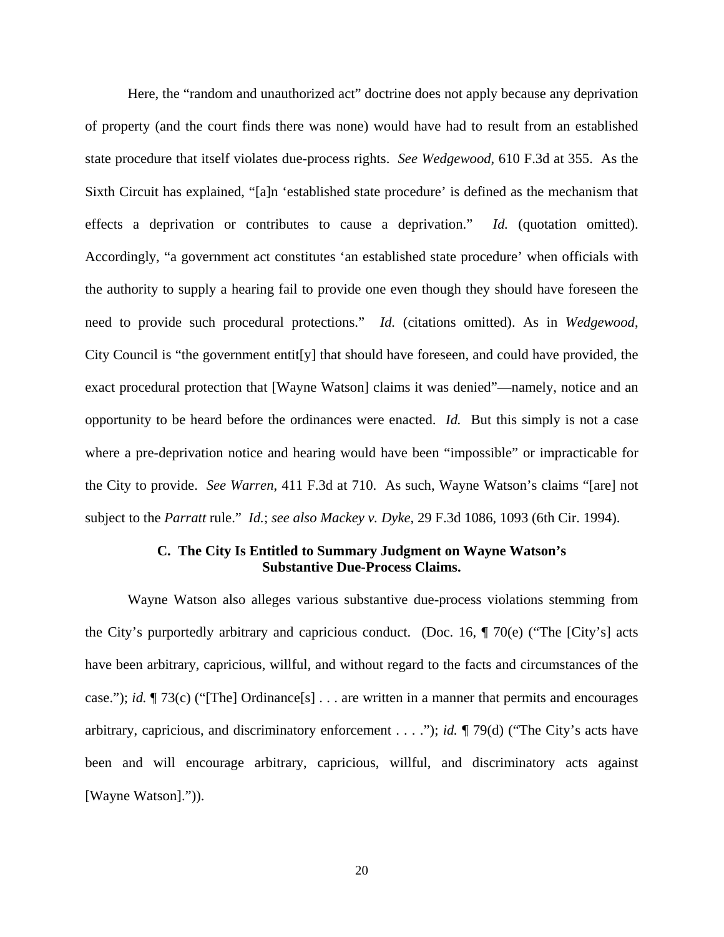Here, the "random and unauthorized act" doctrine does not apply because any deprivation of property (and the court finds there was none) would have had to result from an established state procedure that itself violates due-process rights. *See Wedgewood*, 610 F.3d at 355. As the Sixth Circuit has explained, "[a]n 'established state procedure' is defined as the mechanism that effects a deprivation or contributes to cause a deprivation." *Id.* (quotation omitted). Accordingly, "a government act constitutes 'an established state procedure' when officials with the authority to supply a hearing fail to provide one even though they should have foreseen the need to provide such procedural protections." *Id.* (citations omitted). As in *Wedgewood*, City Council is "the government entit[y] that should have foreseen, and could have provided, the exact procedural protection that [Wayne Watson] claims it was denied"—namely, notice and an opportunity to be heard before the ordinances were enacted. *Id.* But this simply is not a case where a pre-deprivation notice and hearing would have been "impossible" or impracticable for the City to provide. *See Warren*, 411 F.3d at 710. As such, Wayne Watson's claims "[are] not subject to the *Parratt* rule." *Id.*; *see also Mackey v. Dyke*, 29 F.3d 1086, 1093 (6th Cir. 1994).

# **C. The City Is Entitled to Summary Judgment on Wayne Watson's Substantive Due-Process Claims.**

Wayne Watson also alleges various substantive due-process violations stemming from the City's purportedly arbitrary and capricious conduct. (Doc. 16,  $\P$  70(e) ("The [City's] acts have been arbitrary, capricious, willful, and without regard to the facts and circumstances of the case."); *id.* ¶ 73(c) ("[The] Ordinance[s] . . . are written in a manner that permits and encourages arbitrary, capricious, and discriminatory enforcement . . . ."); *id.* ¶ 79(d) ("The City's acts have been and will encourage arbitrary, capricious, willful, and discriminatory acts against [Wayne Watson].")).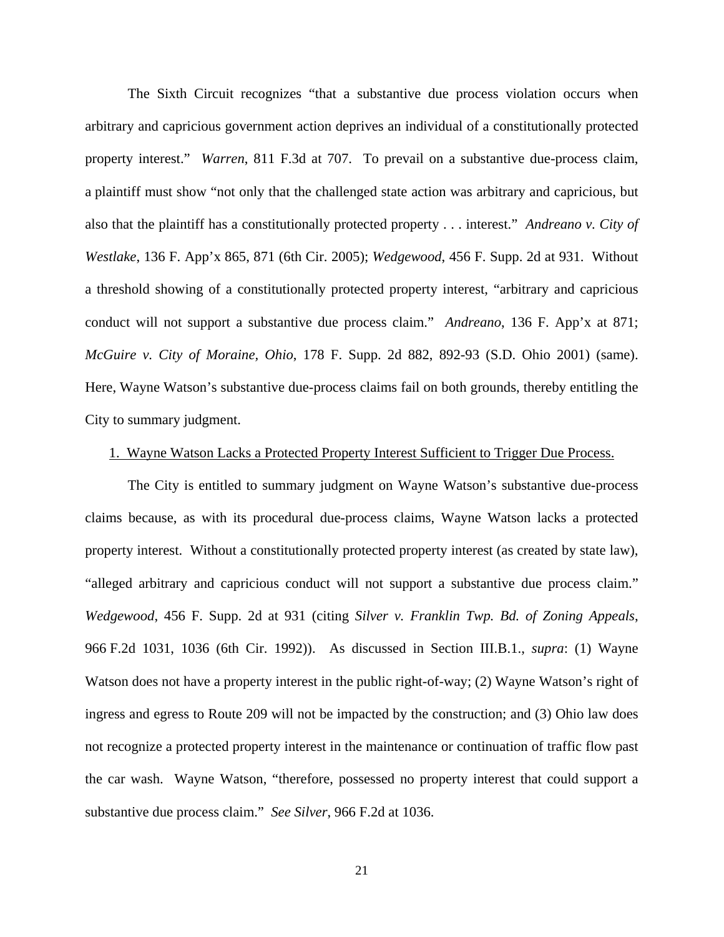The Sixth Circuit recognizes "that a substantive due process violation occurs when arbitrary and capricious government action deprives an individual of a constitutionally protected property interest." *Warren*, 811 F.3d at 707. To prevail on a substantive due-process claim, a plaintiff must show "not only that the challenged state action was arbitrary and capricious, but also that the plaintiff has a constitutionally protected property . . . interest." *Andreano v. City of Westlake*, 136 F. App'x 865, 871 (6th Cir. 2005); *Wedgewood*, 456 F. Supp. 2d at 931. Without a threshold showing of a constitutionally protected property interest, "arbitrary and capricious conduct will not support a substantive due process claim." *Andreano*, 136 F. App'x at 871; *McGuire v. City of Moraine, Ohio*, 178 F. Supp. 2d 882, 892-93 (S.D. Ohio 2001) (same). Here, Wayne Watson's substantive due-process claims fail on both grounds, thereby entitling the City to summary judgment.

### 1. Wayne Watson Lacks a Protected Property Interest Sufficient to Trigger Due Process.

 The City is entitled to summary judgment on Wayne Watson's substantive due-process claims because, as with its procedural due-process claims, Wayne Watson lacks a protected property interest. Without a constitutionally protected property interest (as created by state law), "alleged arbitrary and capricious conduct will not support a substantive due process claim." *Wedgewood*, 456 F. Supp. 2d at 931 (citing *Silver v. Franklin Twp. Bd. of Zoning Appeals*, 966 F.2d 1031, 1036 (6th Cir. 1992)). As discussed in Section III.B.1., *supra*: (1) Wayne Watson does not have a property interest in the public right-of-way; (2) Wayne Watson's right of ingress and egress to Route 209 will not be impacted by the construction; and (3) Ohio law does not recognize a protected property interest in the maintenance or continuation of traffic flow past the car wash. Wayne Watson, "therefore, possessed no property interest that could support a substantive due process claim." *See Silver*, 966 F.2d at 1036.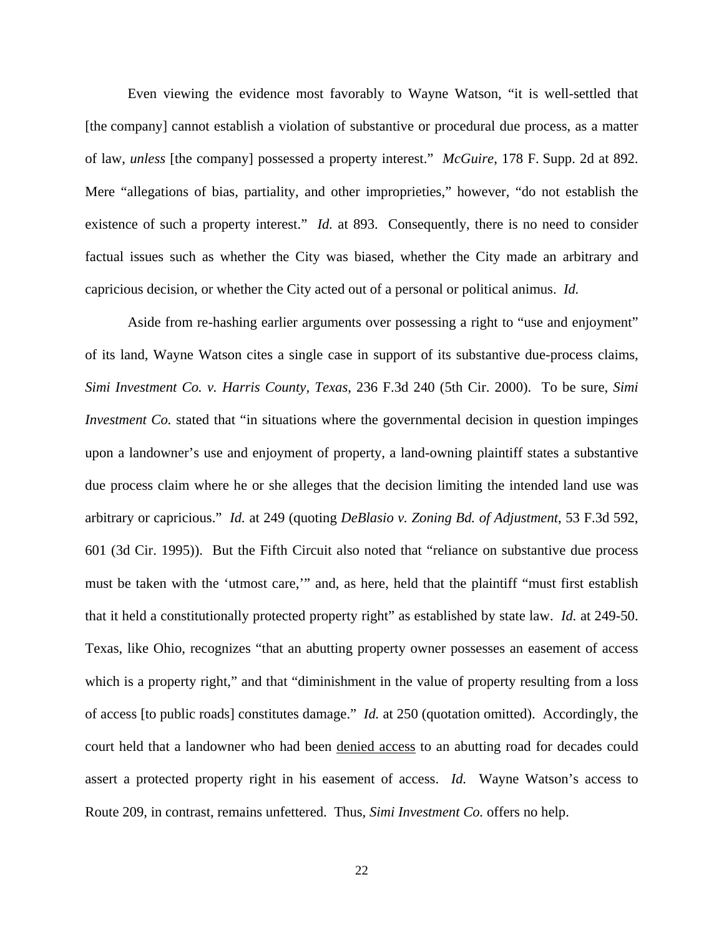Even viewing the evidence most favorably to Wayne Watson, "it is well-settled that [the company] cannot establish a violation of substantive or procedural due process, as a matter of law, *unless* [the company] possessed a property interest." *McGuire*, 178 F. Supp. 2d at 892. Mere "allegations of bias, partiality, and other improprieties," however, "do not establish the existence of such a property interest." *Id.* at 893. Consequently, there is no need to consider factual issues such as whether the City was biased, whether the City made an arbitrary and capricious decision, or whether the City acted out of a personal or political animus. *Id.* 

Aside from re-hashing earlier arguments over possessing a right to "use and enjoyment" of its land, Wayne Watson cites a single case in support of its substantive due-process claims, *Simi Investment Co. v. Harris County, Texas*, 236 F.3d 240 (5th Cir. 2000). To be sure, *Simi Investment Co.* stated that "in situations where the governmental decision in question impinges upon a landowner's use and enjoyment of property, a land-owning plaintiff states a substantive due process claim where he or she alleges that the decision limiting the intended land use was arbitrary or capricious." *Id.* at 249 (quoting *DeBlasio v. Zoning Bd. of Adjustment*, 53 F.3d 592, 601 (3d Cir. 1995)). But the Fifth Circuit also noted that "reliance on substantive due process must be taken with the 'utmost care,'" and, as here, held that the plaintiff "must first establish that it held a constitutionally protected property right" as established by state law. *Id.* at 249-50. Texas, like Ohio, recognizes "that an abutting property owner possesses an easement of access which is a property right," and that "diminishment in the value of property resulting from a loss of access [to public roads] constitutes damage." *Id.* at 250 (quotation omitted). Accordingly, the court held that a landowner who had been denied access to an abutting road for decades could assert a protected property right in his easement of access. *Id.* Wayne Watson's access to Route 209, in contrast, remains unfettered. Thus, *Simi Investment Co.* offers no help.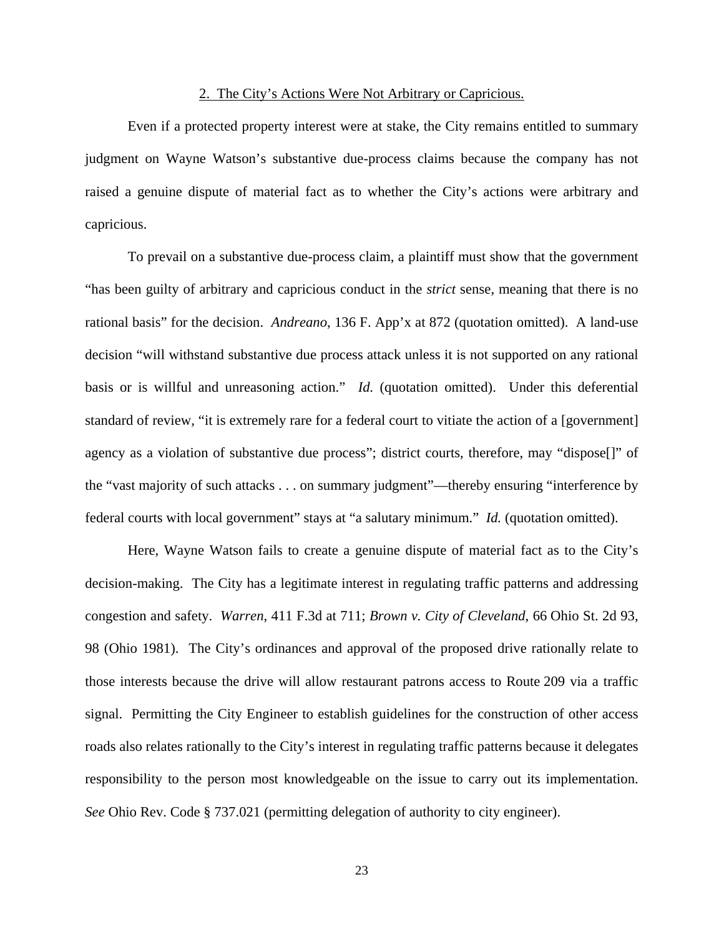### 2. The City's Actions Were Not Arbitrary or Capricious.

 Even if a protected property interest were at stake, the City remains entitled to summary judgment on Wayne Watson's substantive due-process claims because the company has not raised a genuine dispute of material fact as to whether the City's actions were arbitrary and capricious.

To prevail on a substantive due-process claim, a plaintiff must show that the government "has been guilty of arbitrary and capricious conduct in the *strict* sense, meaning that there is no rational basis" for the decision. *Andreano*, 136 F. App'x at 872 (quotation omitted). A land-use decision "will withstand substantive due process attack unless it is not supported on any rational basis or is willful and unreasoning action." *Id.* (quotation omitted). Under this deferential standard of review, "it is extremely rare for a federal court to vitiate the action of a [government] agency as a violation of substantive due process"; district courts, therefore, may "dispose[]" of the "vast majority of such attacks . . . on summary judgment"—thereby ensuring "interference by federal courts with local government" stays at "a salutary minimum." *Id.* (quotation omitted).

Here, Wayne Watson fails to create a genuine dispute of material fact as to the City's decision-making. The City has a legitimate interest in regulating traffic patterns and addressing congestion and safety. *Warren*, 411 F.3d at 711; *Brown v. City of Cleveland*, 66 Ohio St. 2d 93, 98 (Ohio 1981). The City's ordinances and approval of the proposed drive rationally relate to those interests because the drive will allow restaurant patrons access to Route 209 via a traffic signal. Permitting the City Engineer to establish guidelines for the construction of other access roads also relates rationally to the City's interest in regulating traffic patterns because it delegates responsibility to the person most knowledgeable on the issue to carry out its implementation. *See* Ohio Rev. Code § 737.021 (permitting delegation of authority to city engineer).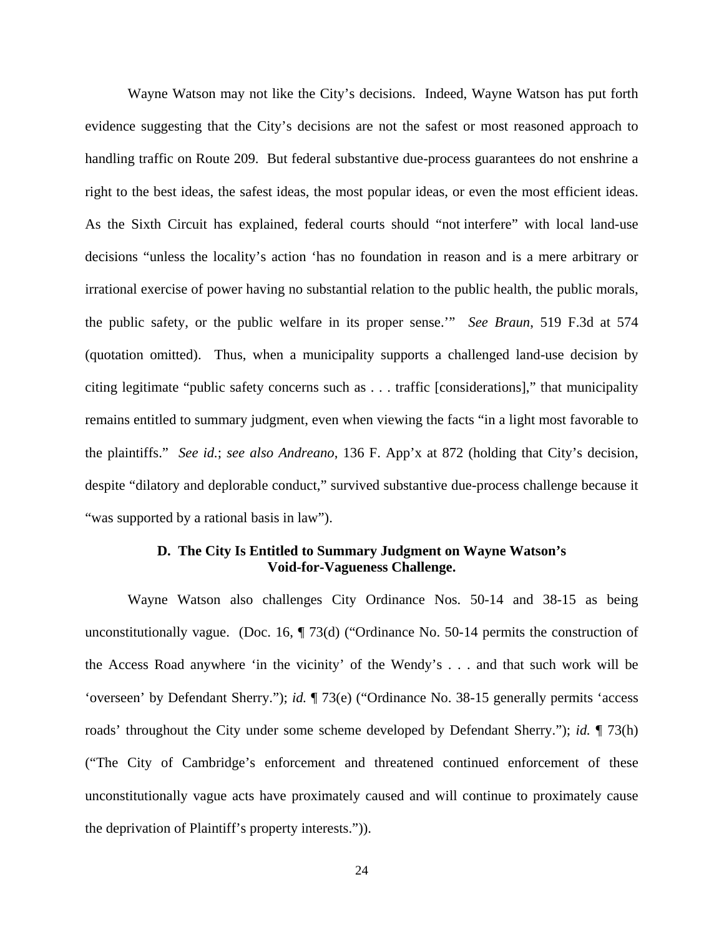Wayne Watson may not like the City's decisions. Indeed, Wayne Watson has put forth evidence suggesting that the City's decisions are not the safest or most reasoned approach to handling traffic on Route 209. But federal substantive due-process guarantees do not enshrine a right to the best ideas, the safest ideas, the most popular ideas, or even the most efficient ideas. As the Sixth Circuit has explained, federal courts should "not interfere" with local land-use decisions "unless the locality's action 'has no foundation in reason and is a mere arbitrary or irrational exercise of power having no substantial relation to the public health, the public morals, the public safety, or the public welfare in its proper sense.'" *See Braun*, 519 F.3d at 574 (quotation omitted). Thus, when a municipality supports a challenged land-use decision by citing legitimate "public safety concerns such as . . . traffic [considerations]," that municipality remains entitled to summary judgment, even when viewing the facts "in a light most favorable to the plaintiffs." *See id.*; *see also Andreano*, 136 F. App'x at 872 (holding that City's decision, despite "dilatory and deplorable conduct," survived substantive due-process challenge because it "was supported by a rational basis in law").

# **D. The City Is Entitled to Summary Judgment on Wayne Watson's Void-for-Vagueness Challenge.**

 Wayne Watson also challenges City Ordinance Nos. 50-14 and 38-15 as being unconstitutionally vague. (Doc. 16,  $\P$  73(d) ("Ordinance No. 50-14 permits the construction of the Access Road anywhere 'in the vicinity' of the Wendy's . . . and that such work will be 'overseen' by Defendant Sherry."); *id.* ¶ 73(e) ("Ordinance No. 38-15 generally permits 'access roads' throughout the City under some scheme developed by Defendant Sherry."); *id.* ¶ 73(h) ("The City of Cambridge's enforcement and threatened continued enforcement of these unconstitutionally vague acts have proximately caused and will continue to proximately cause the deprivation of Plaintiff's property interests.")).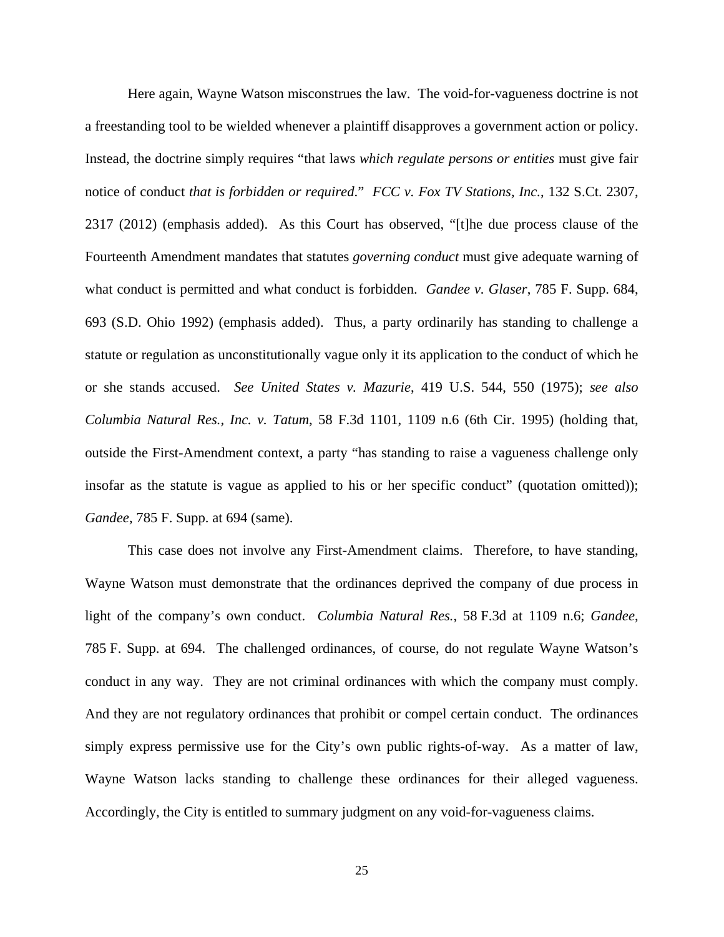Here again, Wayne Watson misconstrues the law. The void-for-vagueness doctrine is not a freestanding tool to be wielded whenever a plaintiff disapproves a government action or policy. Instead, the doctrine simply requires "that laws *which regulate persons or entities* must give fair notice of conduct *that is forbidden or required*." *FCC v. Fox TV Stations, Inc.*, 132 S.Ct. 2307, 2317 (2012) (emphasis added). As this Court has observed, "[t]he due process clause of the Fourteenth Amendment mandates that statutes *governing conduct* must give adequate warning of what conduct is permitted and what conduct is forbidden. *Gandee v. Glaser*, 785 F. Supp. 684, 693 (S.D. Ohio 1992) (emphasis added). Thus, a party ordinarily has standing to challenge a statute or regulation as unconstitutionally vague only it its application to the conduct of which he or she stands accused. *See United States v. Mazurie*, 419 U.S. 544, 550 (1975); *see also Columbia Natural Res., Inc. v. Tatum*, 58 F.3d 1101, 1109 n.6 (6th Cir. 1995) (holding that, outside the First-Amendment context, a party "has standing to raise a vagueness challenge only insofar as the statute is vague as applied to his or her specific conduct" (quotation omitted)); *Gandee*, 785 F. Supp. at 694 (same).

 This case does not involve any First-Amendment claims. Therefore, to have standing, Wayne Watson must demonstrate that the ordinances deprived the company of due process in light of the company's own conduct. *Columbia Natural Res.*, 58 F.3d at 1109 n.6; *Gandee*, 785 F. Supp. at 694. The challenged ordinances, of course, do not regulate Wayne Watson's conduct in any way. They are not criminal ordinances with which the company must comply. And they are not regulatory ordinances that prohibit or compel certain conduct. The ordinances simply express permissive use for the City's own public rights-of-way. As a matter of law, Wayne Watson lacks standing to challenge these ordinances for their alleged vagueness. Accordingly, the City is entitled to summary judgment on any void-for-vagueness claims.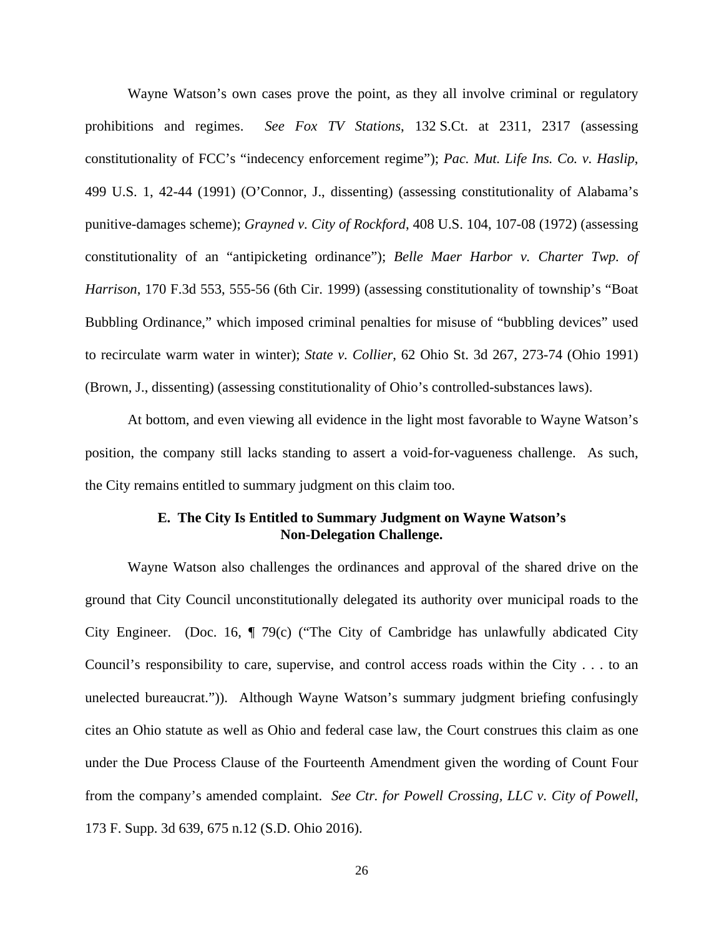Wayne Watson's own cases prove the point, as they all involve criminal or regulatory prohibitions and regimes. *See Fox TV Stations*, 132 S.Ct. at 2311, 2317 (assessing constitutionality of FCC's "indecency enforcement regime"); *Pac. Mut. Life Ins. Co. v. Haslip*, 499 U.S. 1, 42-44 (1991) (O'Connor, J., dissenting) (assessing constitutionality of Alabama's punitive-damages scheme); *Grayned v. City of Rockford*, 408 U.S. 104, 107-08 (1972) (assessing constitutionality of an "antipicketing ordinance"); *Belle Maer Harbor v. Charter Twp. of Harrison*, 170 F.3d 553, 555-56 (6th Cir. 1999) (assessing constitutionality of township's "Boat Bubbling Ordinance," which imposed criminal penalties for misuse of "bubbling devices" used to recirculate warm water in winter); *State v. Collier*, 62 Ohio St. 3d 267, 273-74 (Ohio 1991) (Brown, J., dissenting) (assessing constitutionality of Ohio's controlled-substances laws).

At bottom, and even viewing all evidence in the light most favorable to Wayne Watson's position, the company still lacks standing to assert a void-for-vagueness challenge. As such, the City remains entitled to summary judgment on this claim too.

# **E. The City Is Entitled to Summary Judgment on Wayne Watson's Non-Delegation Challenge.**

 Wayne Watson also challenges the ordinances and approval of the shared drive on the ground that City Council unconstitutionally delegated its authority over municipal roads to the City Engineer. (Doc. 16, ¶ 79(c) ("The City of Cambridge has unlawfully abdicated City Council's responsibility to care, supervise, and control access roads within the City . . . to an unelected bureaucrat.")). Although Wayne Watson's summary judgment briefing confusingly cites an Ohio statute as well as Ohio and federal case law, the Court construes this claim as one under the Due Process Clause of the Fourteenth Amendment given the wording of Count Four from the company's amended complaint. *See Ctr. for Powell Crossing, LLC v. City of Powell*, 173 F. Supp. 3d 639, 675 n.12 (S.D. Ohio 2016).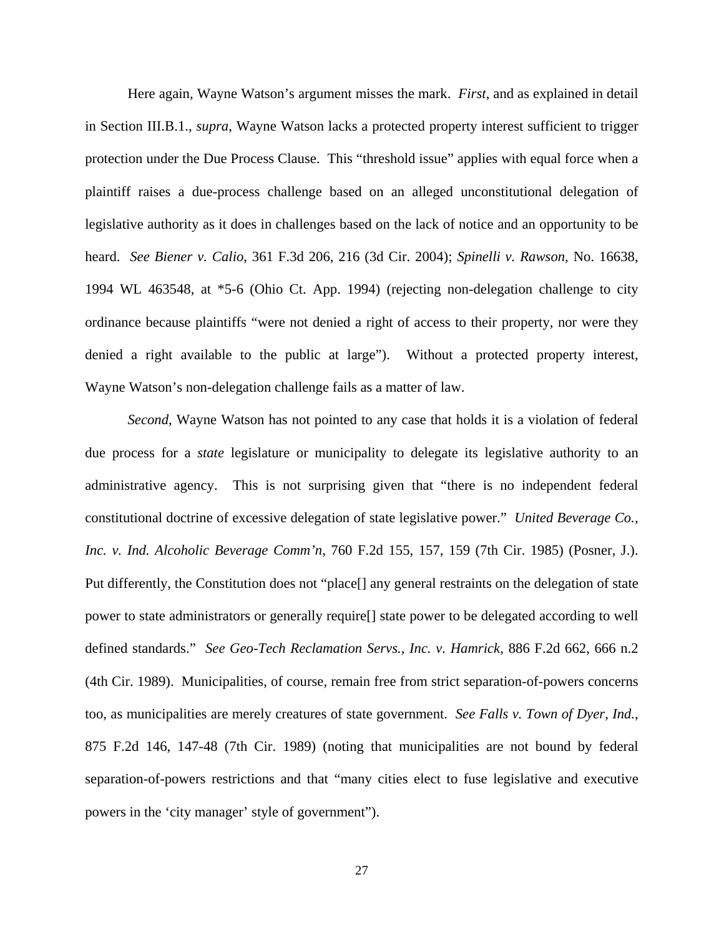Here again, Wayne Watson's argument misses the mark. *First*, and as explained in detail in Section III.B.1., *supra*, Wayne Watson lacks a protected property interest sufficient to trigger protection under the Due Process Clause. This "threshold issue" applies with equal force when a plaintiff raises a due-process challenge based on an alleged unconstitutional delegation of legislative authority as it does in challenges based on the lack of notice and an opportunity to be heard. *See Biener v. Calio*, 361 F.3d 206, 216 (3d Cir. 2004); *Spinelli v. Rawson*, No. 16638, 1994 WL 463548, at \*5-6 (Ohio Ct. App. 1994) (rejecting non-delegation challenge to city ordinance because plaintiffs "were not denied a right of access to their property, nor were they denied a right available to the public at large"). Without a protected property interest, Wayne Watson's non-delegation challenge fails as a matter of law.

*Second*, Wayne Watson has not pointed to any case that holds it is a violation of federal due process for a *state* legislature or municipality to delegate its legislative authority to an administrative agency. This is not surprising given that "there is no independent federal constitutional doctrine of excessive delegation of state legislative power." *United Beverage Co., Inc. v. Ind. Alcoholic Beverage Comm'n*, 760 F.2d 155, 157, 159 (7th Cir. 1985) (Posner, J.). Put differently, the Constitution does not "place[] any general restraints on the delegation of state power to state administrators or generally require[] state power to be delegated according to well defined standards." *See Geo-Tech Reclamation Servs., Inc. v. Hamrick*, 886 F.2d 662, 666 n.2 (4th Cir. 1989). Municipalities, of course, remain free from strict separation-of-powers concerns too, as municipalities are merely creatures of state government. *See Falls v. Town of Dyer, Ind.*, 875 F.2d 146, 147-48 (7th Cir. 1989) (noting that municipalities are not bound by federal separation-of-powers restrictions and that "many cities elect to fuse legislative and executive powers in the 'city manager' style of government").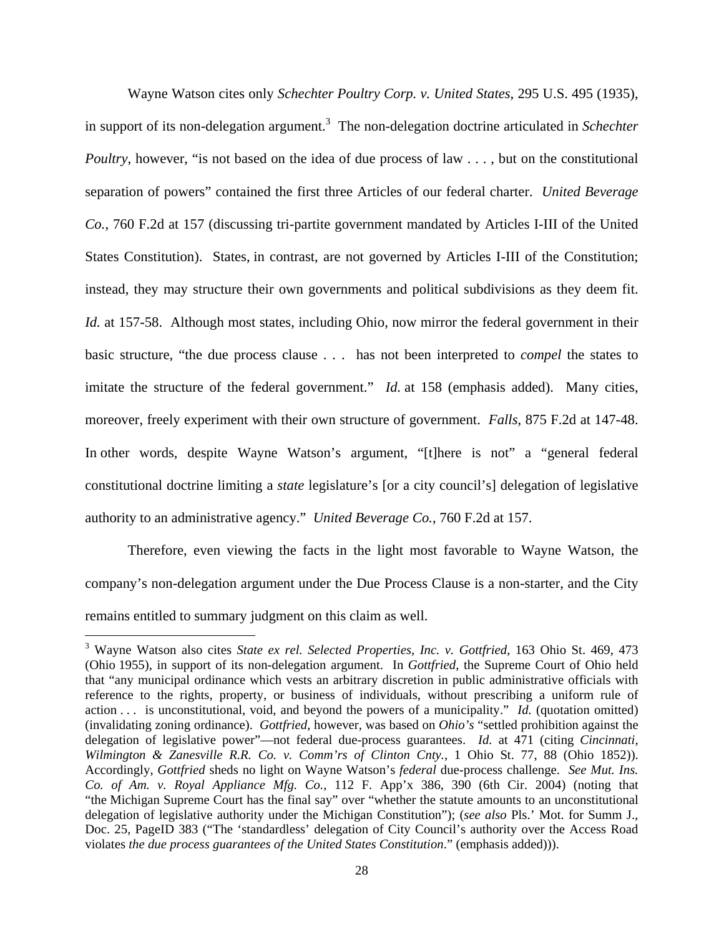Wayne Watson cites only *Schechter Poultry Corp. v. United States*, 295 U.S. 495 (1935), in support of its non-delegation argument.<sup>3</sup> The non-delegation doctrine articulated in *Schechter Poultry*, however, "is not based on the idea of due process of law . . . , but on the constitutional separation of powers" contained the first three Articles of our federal charter. *United Beverage Co.*, 760 F.2d at 157 (discussing tri-partite government mandated by Articles I-III of the United States Constitution).States, in contrast, are not governed by Articles I-III of the Constitution; instead, they may structure their own governments and political subdivisions as they deem fit. *Id.* at 157-58. Although most states, including Ohio, now mirror the federal government in their basic structure, "the due process clause . . . has not been interpreted to *compel* the states to imitate the structure of the federal government." *Id.* at 158 (emphasis added). Many cities, moreover, freely experiment with their own structure of government. *Falls*, 875 F.2d at 147-48. In other words, despite Wayne Watson's argument, "[t]here is not" a "general federal constitutional doctrine limiting a *state* legislature's [or a city council's] delegation of legislative authority to an administrative agency." *United Beverage Co.*, 760 F.2d at 157.

Therefore, even viewing the facts in the light most favorable to Wayne Watson, the company's non-delegation argument under the Due Process Clause is a non-starter, and the City remains entitled to summary judgment on this claim as well.

 $\overline{a}$ 

<sup>3</sup> Wayne Watson also cites *State ex rel. Selected Properties, Inc. v. Gottfried*, 163 Ohio St. 469, 473 (Ohio 1955), in support of its non-delegation argument. In *Gottfried*, the Supreme Court of Ohio held that "any municipal ordinance which vests an arbitrary discretion in public administrative officials with reference to the rights, property, or business of individuals, without prescribing a uniform rule of action . . . is unconstitutional, void, and beyond the powers of a municipality." *Id.* (quotation omitted) (invalidating zoning ordinance). *Gottfried*, however, was based on *Ohio's* "settled prohibition against the delegation of legislative power"—not federal due-process guarantees. *Id.* at 471 (citing *Cincinnati, Wilmington & Zanesville R.R. Co. v. Comm'rs of Clinton Cnty.*, 1 Ohio St. 77, 88 (Ohio 1852)). Accordingly, *Gottfried* sheds no light on Wayne Watson's *federal* due-process challenge. *See Mut. Ins. Co. of Am. v. Royal Appliance Mfg. Co.*, 112 F. App'x 386, 390 (6th Cir. 2004) (noting that "the Michigan Supreme Court has the final say" over "whether the statute amounts to an unconstitutional delegation of legislative authority under the Michigan Constitution"); (*see also* Pls.' Mot. for Summ J., Doc. 25, PageID 383 ("The 'standardless' delegation of City Council's authority over the Access Road violates *the due process guarantees of the United States Constitution*." (emphasis added))).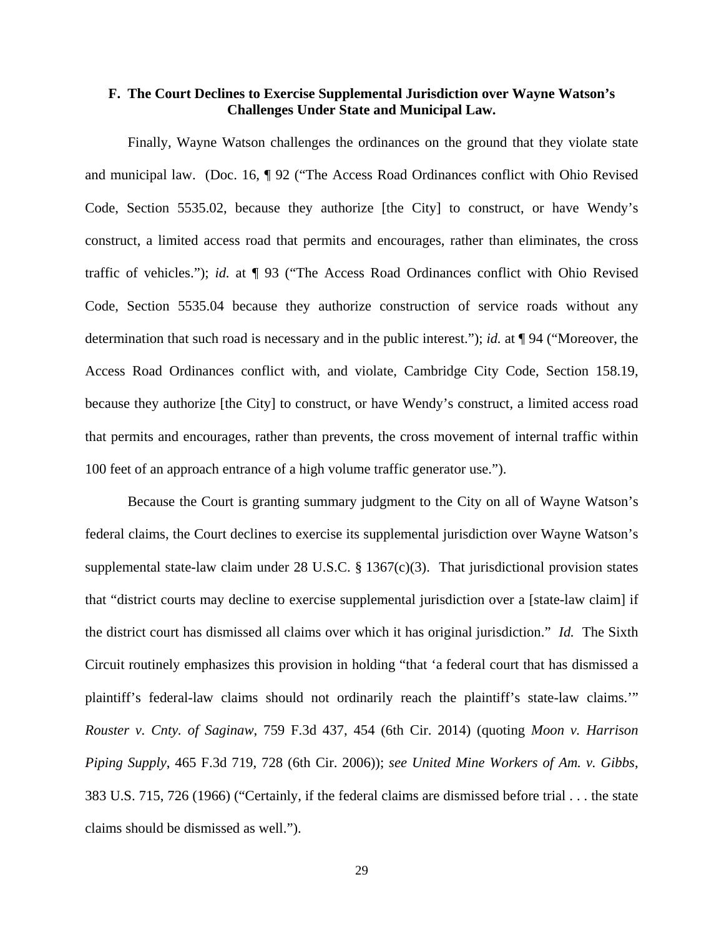## **F. The Court Declines to Exercise Supplemental Jurisdiction over Wayne Watson's Challenges Under State and Municipal Law.**

 Finally, Wayne Watson challenges the ordinances on the ground that they violate state and municipal law. (Doc. 16, ¶ 92 ("The Access Road Ordinances conflict with Ohio Revised Code, Section 5535.02, because they authorize [the City] to construct, or have Wendy's construct, a limited access road that permits and encourages, rather than eliminates, the cross traffic of vehicles."); *id.* at ¶ 93 ("The Access Road Ordinances conflict with Ohio Revised Code, Section 5535.04 because they authorize construction of service roads without any determination that such road is necessary and in the public interest."); *id.* at ¶ 94 ("Moreover, the Access Road Ordinances conflict with, and violate, Cambridge City Code, Section 158.19, because they authorize [the City] to construct, or have Wendy's construct, a limited access road that permits and encourages, rather than prevents, the cross movement of internal traffic within 100 feet of an approach entrance of a high volume traffic generator use.").

 Because the Court is granting summary judgment to the City on all of Wayne Watson's federal claims, the Court declines to exercise its supplemental jurisdiction over Wayne Watson's supplemental state-law claim under 28 U.S.C. § 1367(c)(3). That jurisdictional provision states that "district courts may decline to exercise supplemental jurisdiction over a [state-law claim] if the district court has dismissed all claims over which it has original jurisdiction." *Id.* The Sixth Circuit routinely emphasizes this provision in holding "that 'a federal court that has dismissed a plaintiff's federal-law claims should not ordinarily reach the plaintiff's state-law claims.'" *Rouster v. Cnty. of Saginaw*, 759 F.3d 437, 454 (6th Cir. 2014) (quoting *Moon v. Harrison Piping Supply*, 465 F.3d 719, 728 (6th Cir. 2006)); *see United Mine Workers of Am. v. Gibbs*, 383 U.S. 715, 726 (1966) ("Certainly, if the federal claims are dismissed before trial . . . the state claims should be dismissed as well.").